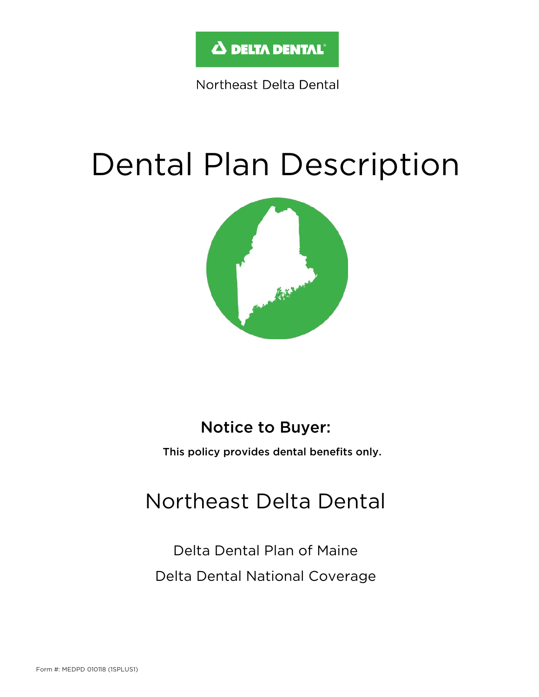

Northeast Delta Dental

# Dental Plan Description



### Notice to Buyer:

This policy provides dental benefits only.

## Northeast Delta Dental

Delta Dental Plan of Maine Delta Dental National Coverage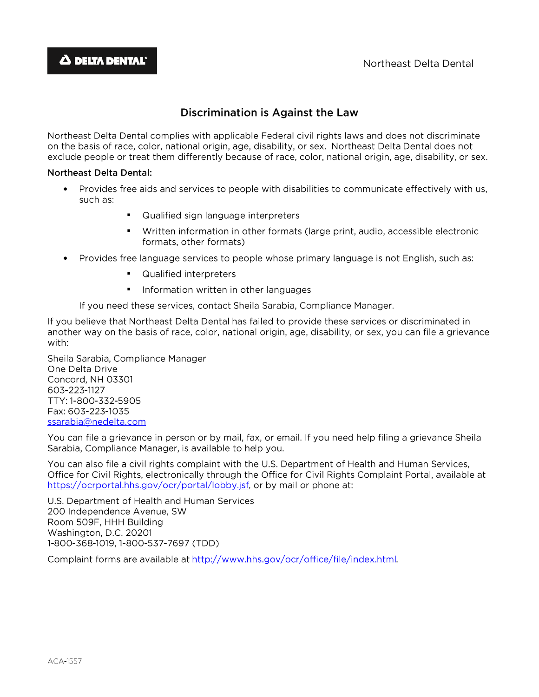#### Discrimination is Against the Law

Northeast Delta Dental complies with applicable Federal civil rights laws and does not discriminate on the basis of race, color, national origin, age, disability, or sex. Northeast Delta Dental does not exclude people or treat them differently because of race, color, national origin, age, disability, or sex.

#### **Northeast Delta Dental:**

- Provides free aids and services to people with disabilities to communicate effectively with us, such as:
	- Qualified sign language interpreters
	- Written information in other formats (large print, audio, accessible electronic formats, other formats)
- Provides free language services to people whose primary language is not English, such as:
	- Qualified interpreters
	- Information written in other languages

If you need these services, contact Sheila Sarabia, Compliance Manager.

If you believe that Northeast Delta Dental has failed to provide these services or discriminated in another way on the basis of race, color, national origin, age, disability, or sex, you can file a grievance with:

Sheila Sarabia, Compliance Manager One Delta Drive Concord, NH 03301 603-223-1127 TTY: 1-800-332-5905 Fax: 603-223-1035 ssarabia@nedelta.com

You can file a grievance in person or by mail, fax, or email. If you need help filing a grievance Sheila Sarabia, Compliance Manager, is available to help you.

You can also file a civil rights complaint with the U.S. Department of Health and Human Services, Office for Civil Rights, electronically through the Office for Civil Rights Complaint Portal, available at https://ocrportal.hhs.gov/ocr/portal/lobby.jsf. or by mail or phone at:

U.S. Department of Health and Human Services 200 Independence Avenue, SW Room 509F, HHH Building Washington, D.C. 20201 1-800-368-1019, 1-800-537-7697 (TDD)

Complaint forms are available at http://www.hhs.gov/ocr/office/file/index.html.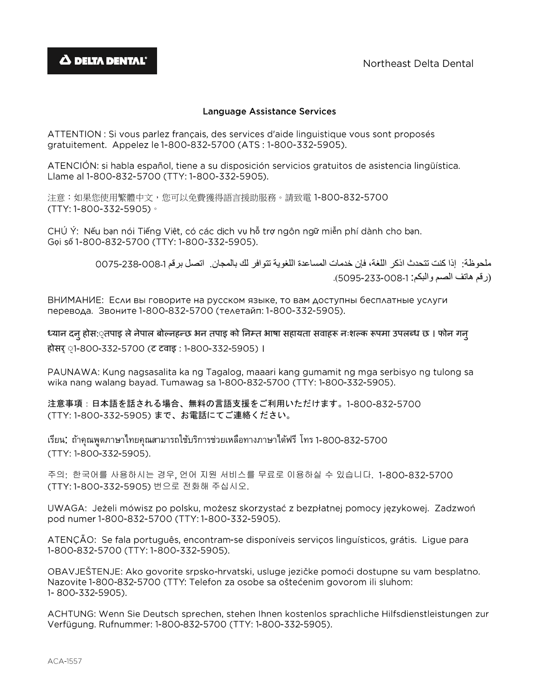#### **Language Assistance Services**

ATTENTION : Si vous parlez français, des services d'aide linguistique vous sont proposés gratuitement. Appelez le 1-800-832-5700 (ATS : 1-800-332-5905).

ATENCIÓN; si habla español, tiene a su disposición servicios gratuitos de asistencia lingüística. Llame al 1-800-832-5700 (TTY: 1-800-332-5905).

注意:如果您使用繁體中文,您可以免費獲得語言援助服務。請致電 (TTY: 1-800-332-5905)。

CHÚ Ý: Nếu bạn nói Tiếng Việt, có các dịch vụ hỗ trợ ngôn ngữ miễn phí dành cho bạn. Gọi số 1-800-832-5700 (TTY: 1-800-332-5905).

> ملحوظة: إذا كنت تتحدث اذكر اللغة، فإن خدمات المساعدة اللغوية تتوافر لك بالمجان. اتصل برقم - )رقم هاتف الصم والبكم: - (.

ВНИМАНИЕ: Если вы говорите на русском языке, то вам доступны бесплатные услуги перевода. Звоните 1-800-832-5700 (телетайп: 1-800-332-5905).

ध्यान दन् होस:्तपाइ ले नेपाल बोल्नहन्छ भन तपाइ को निम्त भाषा सहायता सवाहरू नःशल्क रूपमा उपलब्ध छ । फोन गन् होसर ़1-800-332-5700 (ट टवाइ : 1-800-332-5905) ।

PAUNAWA: Kung nagsasalita ka ng Tagalog, maaari kang gumamit ng mga serbisyo ng tulong sa wika nang walang bayad. Tumawag sa 1-800-832-5700 (TTY: 1-800-332-5905).

注意事項:日本語を話される場合、無料の言語支援をご利用いただけます。1-800-832-5700 (TTY: 1-800-332-5905) まで、お電話にてご連絡ください。

เรียน: ถ้าคุณพูดภาษาไทยคุณสามารถใช้บริการช่วยเหลือทางภาษาได้ฟรี โทร 1-800-832-5700 (TTY: 1-800-332-5905).

주의: 한국어를 사용하시는 경우, 언어 지원 서비스를 무료로 이용하실 수 있습니다. 1-800-832-5700 (TTY: 1-800-332-5905) 번으로 전화해 주십시오.

UWAGA: Jeżeli mówisz po polsku, możesz skorzystać z bezpłatnej pomocy językowej. Zadzwoń pod numer 1-800-832-5700 (TTY: 1-800-332-5905).

ATENÇÃO: Se fala português, encontram-se disponíveis serviços linguísticos, grátis. Ligue para 1-800-832-5700 (TTY: 1-800-332-5905).

OBAVJEŠTENJE: Ako govorite srpsko-hrvatski, usluge jezičke pomoći dostupne su vam besplatno. Nazovite 1-800-832-5700 (TTY: Telefon za osobe sa oštećenim govorom ili sluhom: 1-800-332-5905).

ACHTUNG: Wenn Sie Deutsch sprechen, stehen Ihnen kostenlos sprachliche Hilfsdienstleistungen zur Verfügung. Rufnummer: 1-800-832-5700 (TTY: 1-800-332-5905).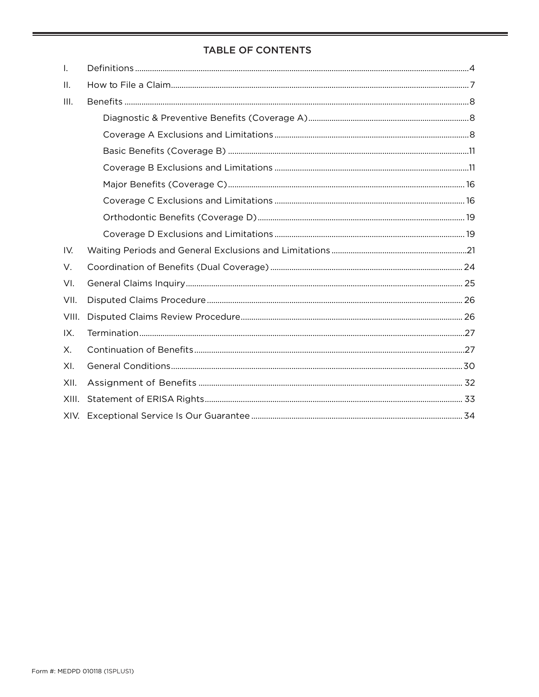#### **TABLE OF CONTENTS**

| Τ.    |  |
|-------|--|
| H.    |  |
| III.  |  |
|       |  |
|       |  |
|       |  |
|       |  |
|       |  |
|       |  |
|       |  |
|       |  |
| IV.   |  |
| V.    |  |
| VI.   |  |
| VII.  |  |
| VIII. |  |
| IX.   |  |
| Х.    |  |
| XI.   |  |
| XII.  |  |
| XIII. |  |
| XIV.  |  |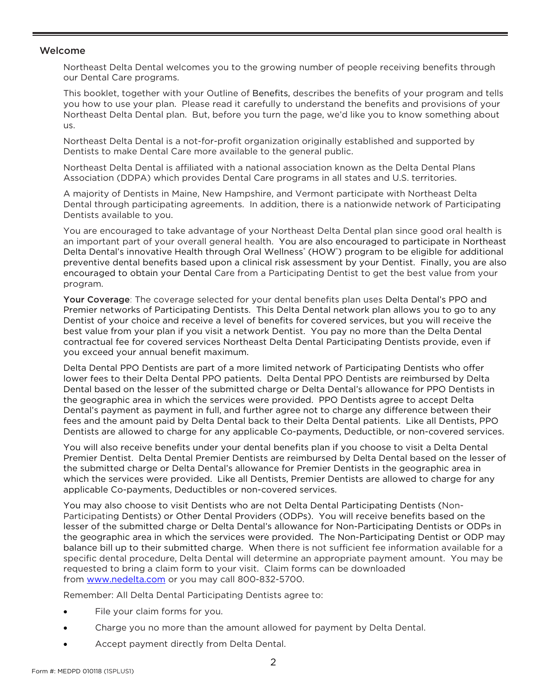#### Welcome

Northeast Delta Dental welcomes you to the growing number of people receiving benefits through our Dental Care programs.

This booklet, together with your Outline of Benefits, describes the benefits of your program and tells you how to use your plan. Please read it carefully to understand the benefits and provisions of your Northeast Delta Dental plan. But, before you turn the page, we'd like you to know something about us.

Northeast Delta Dental is a not-for-profit organization originally established and supported by Dentists to make Dental Care more available to the general public.

Northeast Delta Dental is affiliated with a national association known as the Delta Dental Plans Association (DDPA) which provides Dental Care programs in all states and U.S. territories.

A majority of Dentists in Maine, New Hampshire, and Vermont participate with Northeast Delta Dental through participating agreements. In addition, there is a nationwide network of Participating Dentists available to you.

You are encouraged to take advantage of your Northeast Delta Dental plan since good oral health is an important part of your overall general health. You are also encouraged to participate in Northeast Delta Dental's innovative Health through Oral Wellness<sup>®</sup> (HOW<sup>®</sup>) program to be eligible for additional preventive dental benefits based upon a clinical risk assessment by your Dentist. Finally, you are also encouraged to obtain your Dental Care from a Participating Dentist to get the best value from your program.

Your Coverage: The coverage selected for your dental benefits plan uses Delta Dental's PPO and Premier networks of Participating Dentists. This Delta Dental network plan allows you to go to any Dentist of your choice and receive a level of benefits for covered services, but you will receive the best value from your plan if you visit a network Dentist. You pay no more than the Delta Dental contractual fee for covered services Northeast Delta Dental Participating Dentists provide, even if you exceed your annual benefit maximum.

Delta Dental PPO Dentists are part of a more limited network of Participating Dentists who offer lower fees to their Delta Dental PPO patients. Delta Dental PPO Dentists are reimbursed by Delta Dental based on the lesser of the submitted charge or Delta Dental's allowance for PPO Dentists in the geographic area in which the services were provided. PPO Dentists agree to accept Delta Dental's payment as payment in full, and further agree not to charge any difference between their fees and the amount paid by Delta Dental back to their Delta Dental patients. Like all Dentists, PPO Dentists are allowed to charge for any applicable Co-payments, Deductible, or non-covered services.

You will also receive benefits under your dental benefits plan if you choose to visit a Delta Dental Premier Dentist. Delta Dental Premier Dentists are reimbursed by Delta Dental based on the lesser of the submitted charge or Delta Dental's allowance for Premier Dentists in the geographic area in which the services were provided. Like all Dentists, Premier Dentists are allowed to charge for any applicable Co-payments, Deductibles or non-covered services.

You may also choose to visit Dentists who are not Delta Dental Participating Dentists (Non-Participating Dentists) or Other Dental Providers (ODPs). You will receive benefits based on the lesser of the submitted charge or Delta Dental's allowance for Non-Participating Dentists or ODPs in the geographic area in which the services were provided. The Non-Participating Dentist or ODP may balance bill up to their submitted charge. When there is not sufficient fee information available for a specific dental procedure, Delta Dental will determine an appropriate payment amount. You may be requested to bring a claim form to your visit. Claim forms can be downloaded from [www.nedelta.com](http://www.nedelta.com/) or you may call 800-832-5700.

Remember: All Delta Dental Participating Dentists agree to:

- File your claim forms for you.
- Charge you no more than the amount allowed for payment by Delta Dental.
- Accept payment directly from Delta Dental.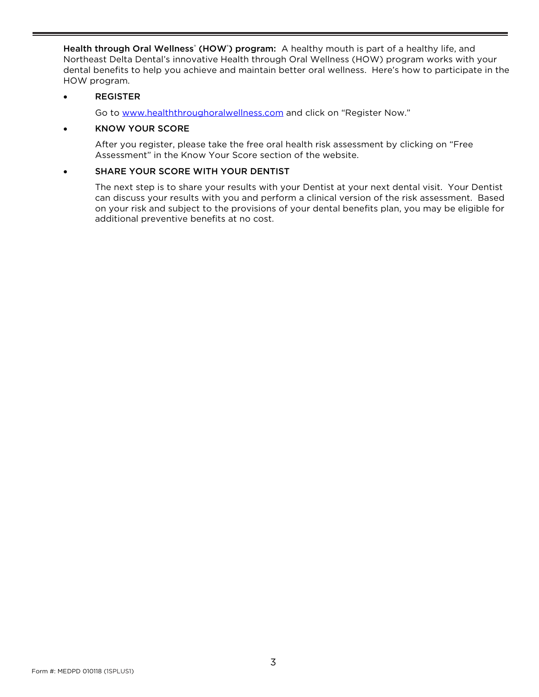Health through Oral Wellness<sup>®</sup> (HOW<sup>®</sup>) program: A healthy mouth is part of a healthy life, and Northeast Delta Dental's innovative Health through Oral Wellness (HOW) program works with your dental benefits to help you achieve and maintain better oral wellness. Here's how to participate in the HOW program.

#### • REGISTER

Go to [www.healththroughoralwellness.com](http://www.healththroughoralwellness.com/) and click on "Register Now."

#### • KNOW YOUR SCORE

After you register, please take the free oral health risk assessment by clicking on "Free Assessment" in the Know Your Score section of the website.

#### SHARE YOUR SCORE WITH YOUR DENTIST

The next step is to share your results with your Dentist at your next dental visit. Your Dentist can discuss your results with you and perform a clinical version of the risk assessment. Based on your risk and subject to the provisions of your dental benefits plan, you may be eligible for additional preventive benefits at no cost.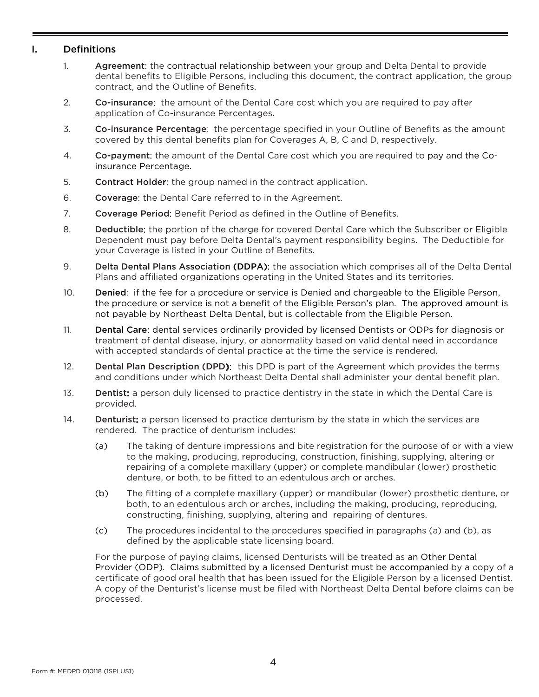#### <span id="page-6-0"></span>I. Definitions

- 1. Agreement: the contractual relationship between your group and Delta Dental to provide dental benefits to Eligible Persons, including this document, the contract application, the group contract, and the Outline of Benefits.
- 2. Co-insurance: the amount of the Dental Care cost which you are required to pay after application of Co-insurance Percentages.
- 3. Co-insurance Percentage: the percentage specified in your Outline of Benefits as the amount covered by this dental benefits plan for Coverages A, B, C and D, respectively.
- 4. Co-payment: the amount of the Dental Care cost which you are required to pay and the Coinsurance Percentage.
- 5. Contract Holder: the group named in the contract application.
- 6. Coverage: the Dental Care referred to in the Agreement.
- 7. Coverage Period: Benefit Period as defined in the Outline of Benefits.
- 8. Deductible: the portion of the charge for covered Dental Care which the Subscriber or Eligible Dependent must pay before Delta Dental's payment responsibility begins. The Deductible for your Coverage is listed in your Outline of Benefits.
- 9. Delta Dental Plans Association (DDPA): the association which comprises all of the Delta Dental Plans and affiliated organizations operating in the United States and its territories.
- 10. Denied: if the fee for a procedure or service is Denied and chargeable to the Eligible Person, the procedure or service is not a benefit of the Eligible Person's plan. The approved amount is not payable by Northeast Delta Dental, but is collectable from the Eligible Person.
- 11. Dental Care: dental services ordinarily provided by licensed Dentists or ODPs for diagnosis or treatment of dental disease, injury, or abnormality based on valid dental need in accordance with accepted standards of dental practice at the time the service is rendered.
- 12. **Dental Plan Description (DPD):** this DPD is part of the Agreement which provides the terms and conditions under which Northeast Delta Dental shall administer your dental benefit plan.
- 13. Dentist: a person duly licensed to practice dentistry in the state in which the Dental Care is provided.
- 14. Denturist: a person licensed to practice denturism by the state in which the services are rendered. The practice of denturism includes:
	- (a) The taking of denture impressions and bite registration for the purpose of or with a view to the making, producing, reproducing, construction, finishing, supplying, altering or repairing of a complete maxillary (upper) or complete mandibular (lower) prosthetic denture, or both, to be fitted to an edentulous arch or arches.
	- (b) The fitting of a complete maxillary (upper) or mandibular (lower) prosthetic denture, or both, to an edentulous arch or arches, including the making, producing, reproducing, constructing, finishing, supplying, altering and repairing of dentures.
	- (c) The procedures incidental to the procedures specified in paragraphs (a) and (b), as defined by the applicable state licensing board.

For the purpose of paying claims, licensed Denturists will be treated as an Other Dental Provider (ODP). Claims submitted by a licensed Denturist must be accompanied by a copy of a certificate of good oral health that has been issued for the Eligible Person by a licensed Dentist. A copy of the Denturist's license must be filed with Northeast Delta Dental before claims can be processed.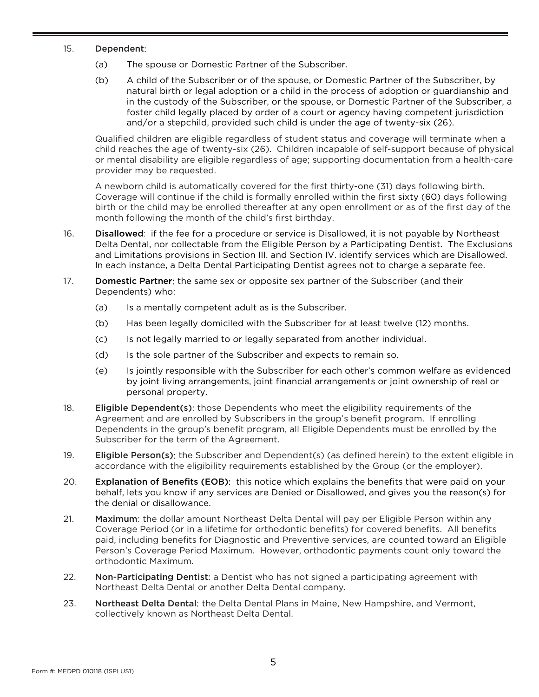#### 15. Dependent:

- (a) The spouse or Domestic Partner of the Subscriber.
- (b) A child of the Subscriber or of the spouse, or Domestic Partner of the Subscriber, by natural birth or legal adoption or a child in the process of adoption or guardianship and in the custody of the Subscriber, or the spouse, or Domestic Partner of the Subscriber, a foster child legally placed by order of a court or agency having competent jurisdiction and/or a stepchild, provided such child is under the age of twenty-six (26).

Qualified children are eligible regardless of student status and coverage will terminate when a child reaches the age of twenty-six (26). Children incapable of self-support because of physical or mental disability are eligible regardless of age; supporting documentation from a health-care provider may be requested.

A newborn child is automatically covered for the first thirty-one (31) days following birth. Coverage will continue if the child is formally enrolled within the first sixty (60) days following birth or the child may be enrolled thereafter at any open enrollment or as of the first day of the month following the month of the child's first birthday.

- 16. **Disallowed**: if the fee for a procedure or service is Disallowed, it is not payable by Northeast Delta Dental, nor collectable from the Eligible Person by a Participating Dentist. The Exclusions and Limitations provisions in Section III. and Section IV. identify services which are Disallowed. In each instance, a Delta Dental Participating Dentist agrees not to charge a separate fee.
- 17. Domestic Partner: the same sex or opposite sex partner of the Subscriber (and their Dependents) who:
	- (a) Is a mentally competent adult as is the Subscriber.
	- (b) Has been legally domiciled with the Subscriber for at least twelve (12) months.
	- (c) Is not legally married to or legally separated from another individual.
	- (d) Is the sole partner of the Subscriber and expects to remain so.
	- (e) Is jointly responsible with the Subscriber for each other's common welfare as evidenced by joint living arrangements, joint financial arrangements or joint ownership of real or personal property.
- 18. **Eligible Dependent(s)**: those Dependents who meet the eligibility requirements of the Agreement and are enrolled by Subscribers in the group's benefit program. If enrolling Dependents in the group's benefit program, all Eligible Dependents must be enrolled by the Subscriber for the term of the Agreement.
- 19. **Eligible Person(s):** the Subscriber and Dependent(s) (as defined herein) to the extent eligible in accordance with the eligibility requirements established by the Group (or the employer).
- 20. Explanation of Benefits (EOB): this notice which explains the benefits that were paid on your behalf, lets you know if any services are Denied or Disallowed, and gives you the reason(s) for the denial or disallowance.
- 21. Maximum: the dollar amount Northeast Delta Dental will pay per Eligible Person within any Coverage Period (or in a lifetime for orthodontic benefits) for covered benefits. All benefits paid, including benefits for Diagnostic and Preventive services, are counted toward an Eligible Person's Coverage Period Maximum. However, orthodontic payments count only toward the orthodontic Maximum.
- 22. Non-Participating Dentist: a Dentist who has not signed a participating agreement with Northeast Delta Dental or another Delta Dental company.
- 23. Northeast Delta Dental: the Delta Dental Plans in Maine, New Hampshire, and Vermont, collectively known as Northeast Delta Dental.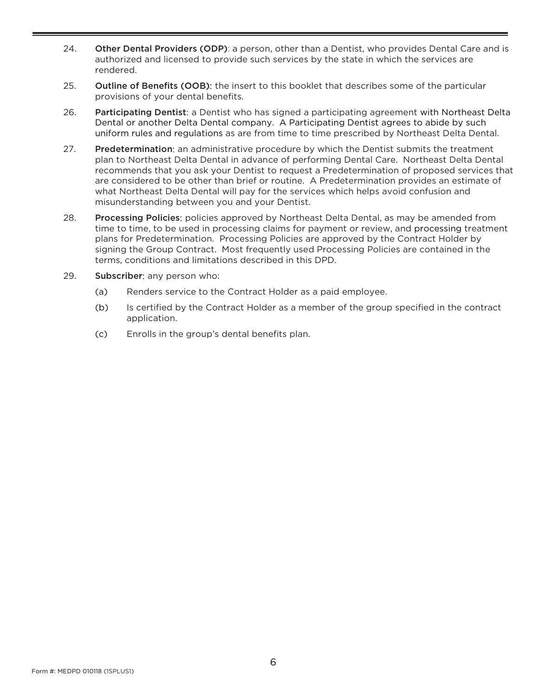- 24. Other Dental Providers (ODP): a person, other than a Dentist, who provides Dental Care and is authorized and licensed to provide such services by the state in which the services are rendered.
- 25. Outline of Benefits (OOB): the insert to this booklet that describes some of the particular provisions of your dental benefits.
- 26. Participating Dentist: a Dentist who has signed a participating agreement with Northeast Delta Dental or another Delta Dental company. A Participating Dentist agrees to abide by such uniform rules and regulations as are from time to time prescribed by Northeast Delta Dental.
- 27. Predetermination: an administrative procedure by which the Dentist submits the treatment plan to Northeast Delta Dental in advance of performing Dental Care. Northeast Delta Dental recommends that you ask your Dentist to request a Predetermination of proposed services that are considered to be other than brief or routine. A Predetermination provides an estimate of what Northeast Delta Dental will pay for the services which helps avoid confusion and misunderstanding between you and your Dentist.
- 28. Processing Policies: policies approved by Northeast Delta Dental, as may be amended from time to time, to be used in processing claims for payment or review, and processing treatment plans for Predetermination. Processing Policies are approved by the Contract Holder by signing the Group Contract. Most frequently used Processing Policies are contained in the terms, conditions and limitations described in this DPD.
- 29. Subscriber: any person who:
	- (a) Renders service to the Contract Holder as a paid employee.
	- (b) Is certified by the Contract Holder as a member of the group specified in the contract application.
	- (c) Enrolls in the group's dental benefits plan.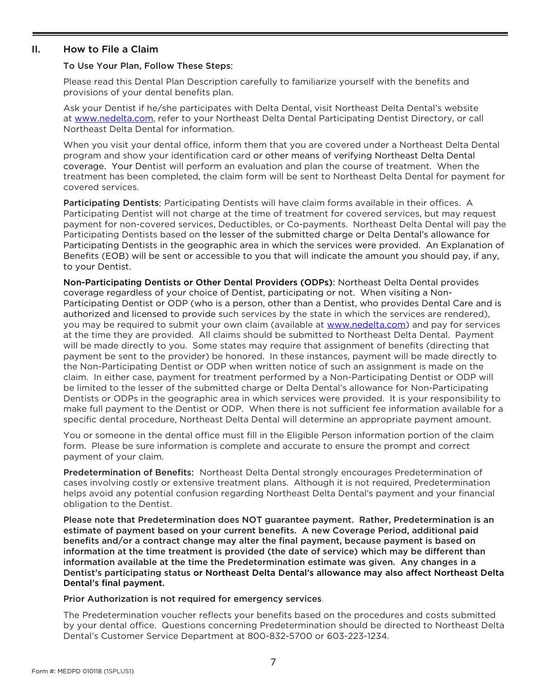#### <span id="page-9-0"></span>II. How to File a Claim

#### To Use Your Plan, Follow These Steps:

Please read this Dental Plan Description carefully to familiarize yourself with the benefits and provisions of your dental benefits plan.

Ask your Dentist if he/she participates with Delta Dental, visit Northeast Delta Dental's website at [www.nedelta.com,](http://www.nedelta.com/) refer to your Northeast Delta Dental Participating Dentist Directory, or call Northeast Delta Dental for information.

When you visit your dental office, inform them that you are covered under a Northeast Delta Dental program and show your identification card or other means of verifying Northeast Delta Dental coverage. Your Dentist will perform an evaluation and plan the course of treatment. When the treatment has been completed, the claim form will be sent to Northeast Delta Dental for payment for covered services.

Participating Dentists: Participating Dentists will have claim forms available in their offices. A Participating Dentist will not charge at the time of treatment for covered services, but may request payment for non-covered services, Deductibles, or Co-payments. Northeast Delta Dental will pay the Participating Dentists based on the lesser of the submitted charge or Delta Dental's allowance for Participating Dentists in the geographic area in which the services were provided. An Explanation of Benefits (EOB) will be sent or accessible to you that will indicate the amount you should pay, if any, to your Dentist.

Non-Participating Dentists or Other Dental Providers (ODPs): Northeast Delta Dental provides coverage regardless of your choice of Dentist, participating or not. When visiting a Non-Participating Dentist or ODP (who is a person, other than a Dentist, who provides Dental Care and is authorized and licensed to provide such services by the state in which the services are rendered), you may be required to submit your own claim (available at [www.nedelta.com\)](http://www.nedelta.com/) and pay for services at the time they are provided. All claims should be submitted to Northeast Delta Dental. Payment will be made directly to you. Some states may require that assignment of benefits (directing that payment be sent to the provider) be honored. In these instances, payment will be made directly to the Non-Participating Dentist or ODP when written notice of such an assignment is made on the claim. In either case, payment for treatment performed by a Non-Participating Dentist or ODP will be limited to the lesser of the submitted charge or Delta Dental's allowance for Non-Participating Dentists or ODPs in the geographic area in which services were provided. It is your responsibility to make full payment to the Dentist or ODP. When there is not sufficient fee information available for a specific dental procedure, Northeast Delta Dental will determine an appropriate payment amount.

You or someone in the dental office must fill in the Eligible Person information portion of the claim form. Please be sure information is complete and accurate to ensure the prompt and correct payment of your claim.

Predetermination of Benefits: Northeast Delta Dental strongly encourages Predetermination of cases involving costly or extensive treatment plans. Although it is not required, Predetermination helps avoid any potential confusion regarding Northeast Delta Dental's payment and your financial obligation to the Dentist.

Please note that Predetermination does NOT guarantee payment. Rather, Predetermination is an estimate of payment based on your current benefits. A new Coverage Period, additional paid benefits and/or a contract change may alter the final payment, because payment is based on information at the time treatment is provided (the date of service) which may be different than information available at the time the Predetermination estimate was given. Any changes in a Dentist's participating status or Northeast Delta Dental's allowance may also affect Northeast Delta Dental's final payment.

Prior Authorization is not required for emergency services.

The Predetermination voucher reflects your benefits based on the procedures and costs submitted by your dental office. Questions concerning Predetermination should be directed to Northeast Delta Dental's Customer Service Department at 800-832-5700 or 603-223-1234.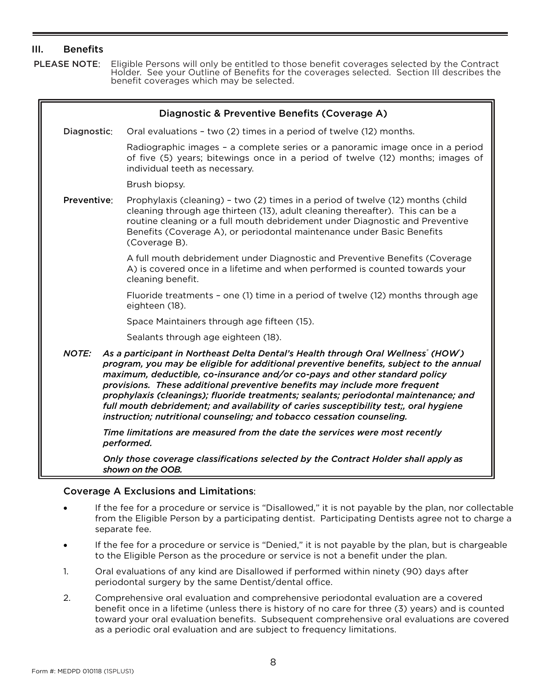#### <span id="page-10-0"></span>III. Benefits

PLEASE NOTE: Eligible Persons will only be entitled to those benefit coverages selected by the Contract Holder. See your Outline of Benefits for the coverages selected. Section III describes the benefit coverages which may be selected.

<span id="page-10-1"></span>

| Diagnostic & Preventive Benefits (Coverage A) |                                                                                                                                                                                                                                                                                                                                                                                                                                                                                                                                                                                                   |  |  |  |  |
|-----------------------------------------------|---------------------------------------------------------------------------------------------------------------------------------------------------------------------------------------------------------------------------------------------------------------------------------------------------------------------------------------------------------------------------------------------------------------------------------------------------------------------------------------------------------------------------------------------------------------------------------------------------|--|--|--|--|
| Diagnostic:                                   | Oral evaluations - two (2) times in a period of twelve (12) months.                                                                                                                                                                                                                                                                                                                                                                                                                                                                                                                               |  |  |  |  |
|                                               | Radiographic images - a complete series or a panoramic image once in a period<br>of five (5) years; bitewings once in a period of twelve (12) months; images of<br>individual teeth as necessary.                                                                                                                                                                                                                                                                                                                                                                                                 |  |  |  |  |
|                                               | Brush biopsy.                                                                                                                                                                                                                                                                                                                                                                                                                                                                                                                                                                                     |  |  |  |  |
| Preventive:                                   | Prophylaxis (cleaning) - two (2) times in a period of twelve (12) months (child<br>cleaning through age thirteen (13), adult cleaning thereafter). This can be a<br>routine cleaning or a full mouth debridement under Diagnostic and Preventive<br>Benefits (Coverage A), or periodontal maintenance under Basic Benefits<br>(Coverage B).                                                                                                                                                                                                                                                       |  |  |  |  |
|                                               | A full mouth debridement under Diagnostic and Preventive Benefits (Coverage<br>A) is covered once in a lifetime and when performed is counted towards your<br>cleaning benefit.                                                                                                                                                                                                                                                                                                                                                                                                                   |  |  |  |  |
|                                               | Fluoride treatments - one (1) time in a period of twelve (12) months through age<br>eighteen (18).                                                                                                                                                                                                                                                                                                                                                                                                                                                                                                |  |  |  |  |
|                                               | Space Maintainers through age fifteen (15).                                                                                                                                                                                                                                                                                                                                                                                                                                                                                                                                                       |  |  |  |  |
|                                               | Sealants through age eighteen (18).                                                                                                                                                                                                                                                                                                                                                                                                                                                                                                                                                               |  |  |  |  |
| <b>NOTE:</b>                                  | As a participant in Northeast Delta Dental's Health through Oral Wellness' (HOW)<br>program, you may be eligible for additional preventive benefits, subject to the annual<br>maximum, deductible, co-insurance and/or co-pays and other standard policy<br>provisions. These additional preventive benefits may include more frequent<br>prophylaxis (cleanings); fluoride treatments; sealants; periodontal maintenance; and<br>full mouth debridement; and availability of caries susceptibility test;, oral hygiene<br>instruction; nutritional counseling; and tobacco cessation counseling. |  |  |  |  |
|                                               | Time limitations are measured from the date the services were most recently<br>performed.                                                                                                                                                                                                                                                                                                                                                                                                                                                                                                         |  |  |  |  |
|                                               | Only those coverage classifications selected by the Contract Holder shall apply as<br>shown on the OOB.                                                                                                                                                                                                                                                                                                                                                                                                                                                                                           |  |  |  |  |

#### <span id="page-10-2"></span>Coverage A Exclusions and Limitations:

- If the fee for a procedure or service is "Disallowed," it is not payable by the plan, nor collectable from the Eligible Person by a participating dentist. Participating Dentists agree not to charge a separate fee.
- If the fee for a procedure or service is "Denied," it is not payable by the plan, but is chargeable to the Eligible Person as the procedure or service is not a benefit under the plan.
- 1. Oral evaluations of any kind are Disallowed if performed within ninety (90) days after periodontal surgery by the same Dentist/dental office.
- 2. Comprehensive oral evaluation and comprehensive periodontal evaluation are a covered benefit once in a lifetime (unless there is history of no care for three (3) years) and is counted toward your oral evaluation benefits. Subsequent comprehensive oral evaluations are covered as a periodic oral evaluation and are subject to frequency limitations.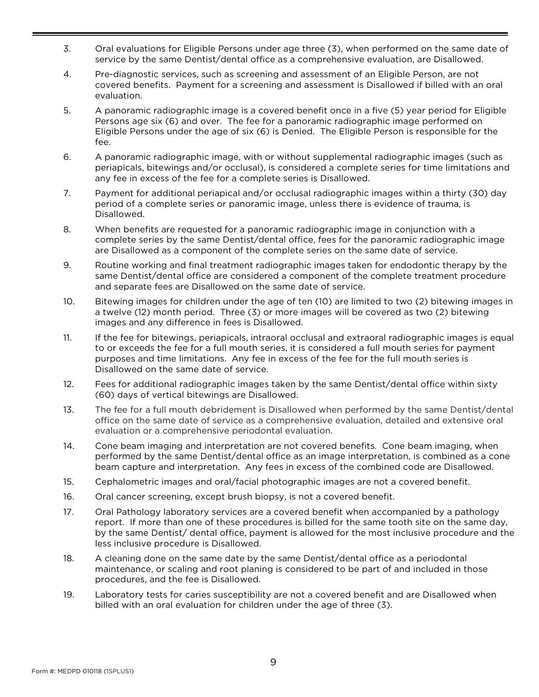- 3. Oral evaluations for Eligible Persons under age three (3), when performed on the same date of service by the same Dentist/dental office as a comprehensive evaluation, are Disallowed.
- 4. Pre-diagnostic services, such as screening and assessment of an Eligible Person, are not covered benefits. Payment for a screening and assessment is Disallowed if billed with an oral evaluation.
- 5. A panoramic radiographic image is a covered benefit once in a five (5) year period for Eligible Persons age six (6) and over. The fee for a panoramic radiographic image performed on Eligible Persons under the age of six (6) is Denied. The Eligible Person is responsible for the fee.
- 6. A panoramic radiographic image, with or without supplemental radiographic images (such as periapicals, bitewings and/or occlusal), is considered a complete series for time limitations and any fee in excess of the fee for a complete series is Disallowed.
- 7. Payment for additional periapical and/or occlusal radiographic images within a thirty (30) day period of a complete series or panoramic image, unless there is evidence of trauma, is Disallowed.
- 8. When benefits are requested for a panoramic radiographic image in conjunction with a complete series by the same Dentist/dental office, fees for the panoramic radiographic image are Disallowed as a component of the complete series on the same date of service.
- 9. Routine working and final treatment radiographic images taken for endodontic therapy by the same Dentist/dental office are considered a component of the complete treatment procedure and separate fees are Disallowed on the same date of service.
- 10. Bitewing images for children under the age of ten (10) are limited to two (2) bitewing images in a twelve (12) month period. Three (3) or more images will be covered as two (2) bitewing images and any difference in fees is Disallowed.
- 11. If the fee for bitewings, periapicals, intraoral occlusal and extraoral radiographic images is equal to or exceeds the fee for a full mouth series, it is considered a full mouth series for payment purposes and time limitations. Any fee in excess of the fee for the full mouth series is Disallowed on the same date of service.
- 12. Fees for additional radiographic images taken by the same Dentist/dental office within sixty (60) days of vertical bitewings are Disallowed.
- 13. The fee for a full mouth debridement is Disallowed when performed by the same Dentist/dental office on the same date of service as a comprehensive evaluation, detailed and extensive oral evaluation or a comprehensive periodontal evaluation.
- 14. Cone beam imaging and interpretation are not covered benefits. Cone beam imaging, when performed by the same Dentist/dental office as an image interpretation, is combined as a cone beam capture and interpretation. Any fees in excess of the combined code are Disallowed.
- 15. Cephalometric images and oral/facial photographic images are not a covered benefit.
- 16. Oral cancer screening, except brush biopsy, is not a covered benefit.
- 17. Oral Pathology laboratory services are a covered benefit when accompanied by a pathology report. If more than one of these procedures is billed for the same tooth site on the same day, by the same Dentist/ dental office, payment is allowed for the most inclusive procedure and the less inclusive procedure is Disallowed.
- 18. A cleaning done on the same date by the same Dentist/dental office as a periodontal maintenance, or scaling and root planing is considered to be part of and included in those procedures, and the fee is Disallowed.
- 19. Laboratory tests for caries susceptibility are not a covered benefit and are Disallowed when billed with an oral evaluation for children under the age of three (3).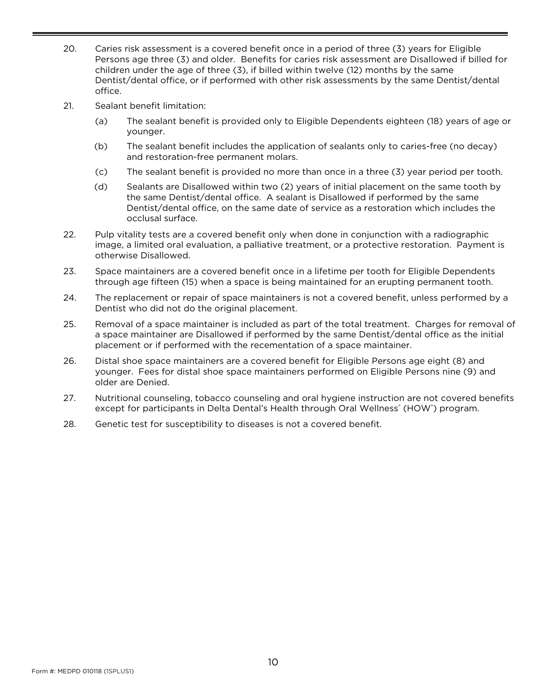- 20. Caries risk assessment is a covered benefit once in a period of three (3) years for Eligible Persons age three (3) and older. Benefits for caries risk assessment are Disallowed if billed for children under the age of three (3), if billed within twelve (12) months by the same Dentist/dental office, or if performed with other risk assessments by the same Dentist/dental office.
- 21. Sealant benefit limitation:
	- (a) The sealant benefit is provided only to Eligible Dependents eighteen (18) years of age or younger.
	- (b) The sealant benefit includes the application of sealants only to caries-free (no decay) and restoration-free permanent molars.
	- (c) The sealant benefit is provided no more than once in a three (3) year period per tooth.
	- (d) Sealants are Disallowed within two (2) years of initial placement on the same tooth by the same Dentist/dental office. A sealant is Disallowed if performed by the same Dentist/dental office, on the same date of service as a restoration which includes the occlusal surface.
- 22. Pulp vitality tests are a covered benefit only when done in conjunction with a radiographic image, a limited oral evaluation, a palliative treatment, or a protective restoration. Payment is otherwise Disallowed.
- 23. Space maintainers are a covered benefit once in a lifetime per tooth for Eligible Dependents through age fifteen (15) when a space is being maintained for an erupting permanent tooth.
- 24. The replacement or repair of space maintainers is not a covered benefit, unless performed by a Dentist who did not do the original placement.
- 25. Removal of a space maintainer is included as part of the total treatment. Charges for removal of a space maintainer are Disallowed if performed by the same Dentist/dental office as the initial placement or if performed with the recementation of a space maintainer.
- 26. Distal shoe space maintainers are a covered benefit for Eligible Persons age eight (8) and younger. Fees for distal shoe space maintainers performed on Eligible Persons nine (9) and older are Denied.
- 27. Nutritional counseling, tobacco counseling and oral hygiene instruction are not covered benefits except for participants in Delta Dental's Health through Oral Wellness<sup>®</sup> (HOW®) program.
- 28. Genetic test for susceptibility to diseases is not a covered benefit.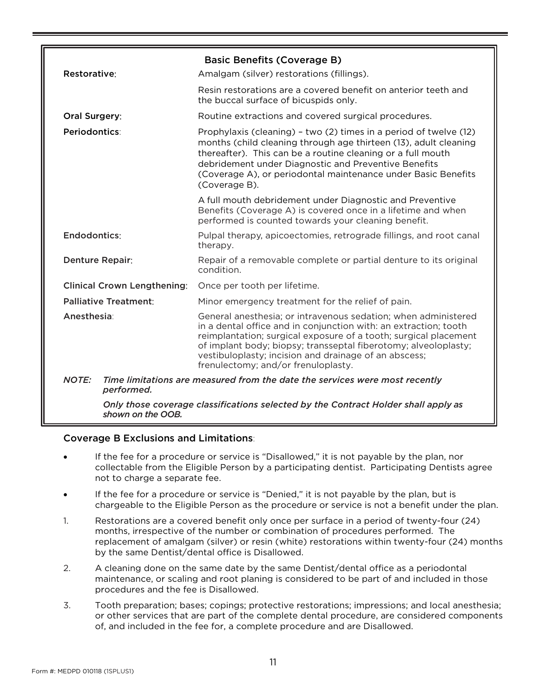<span id="page-13-0"></span>

|                                    | <b>Basic Benefits (Coverage B)</b>                                                                                                                                                                                                                                                                                                                                        |
|------------------------------------|---------------------------------------------------------------------------------------------------------------------------------------------------------------------------------------------------------------------------------------------------------------------------------------------------------------------------------------------------------------------------|
| Restorative:                       | Amalgam (silver) restorations (fillings).                                                                                                                                                                                                                                                                                                                                 |
|                                    | Resin restorations are a covered benefit on anterior teeth and<br>the buccal surface of bicuspids only.                                                                                                                                                                                                                                                                   |
| Oral Surgery:                      | Routine extractions and covered surgical procedures.                                                                                                                                                                                                                                                                                                                      |
| Periodontics:                      | Prophylaxis (cleaning) - two (2) times in a period of twelve (12)<br>months (child cleaning through age thirteen (13), adult cleaning<br>thereafter). This can be a routine cleaning or a full mouth<br>debridement under Diagnostic and Preventive Benefits<br>(Coverage A), or periodontal maintenance under Basic Benefits<br>(Coverage B).                            |
|                                    | A full mouth debridement under Diagnostic and Preventive<br>Benefits (Coverage A) is covered once in a lifetime and when<br>performed is counted towards your cleaning benefit.                                                                                                                                                                                           |
| Endodontics:                       | Pulpal therapy, apicoectomies, retrograde fillings, and root canal<br>therapy.                                                                                                                                                                                                                                                                                            |
| <b>Denture Repair:</b>             | Repair of a removable complete or partial denture to its original<br>condition.                                                                                                                                                                                                                                                                                           |
| <b>Clinical Crown Lengthening:</b> | Once per tooth per lifetime.                                                                                                                                                                                                                                                                                                                                              |
| <b>Palliative Treatment:</b>       | Minor emergency treatment for the relief of pain.                                                                                                                                                                                                                                                                                                                         |
| <b>Anesthesia:</b>                 | General anesthesia; or intravenous sedation; when administered<br>in a dental office and in conjunction with: an extraction; tooth<br>reimplantation; surgical exposure of a tooth; surgical placement<br>of implant body; biopsy; transseptal fiberotomy; alveoloplasty;<br>vestibuloplasty; incision and drainage of an abscess;<br>frenulectomy; and/or frenuloplasty. |
| <b>NOTE:</b><br>performed.         | Time limitations are measured from the date the services were most recently                                                                                                                                                                                                                                                                                               |
|                                    | $\mathcal{A}$ . The contract of the state of the state of the state of the contract of the left of the state of the state                                                                                                                                                                                                                                                 |

*Only those coverage classifications selected by the Contract Holder shall apply as shown on the OOB.*

#### <span id="page-13-1"></span>Coverage B Exclusions and Limitations:

- If the fee for a procedure or service is "Disallowed," it is not payable by the plan, nor collectable from the Eligible Person by a participating dentist. Participating Dentists agree not to charge a separate fee.
- If the fee for a procedure or service is "Denied," it is not payable by the plan, but is chargeable to the Eligible Person as the procedure or service is not a benefit under the plan.
- 1. Restorations are a covered benefit only once per surface in a period of twenty-four (24) months, irrespective of the number or combination of procedures performed. The replacement of amalgam (silver) or resin (white) restorations within twenty-four (24) months by the same Dentist/dental office is Disallowed.
- 2. A cleaning done on the same date by the same Dentist/dental office as a periodontal maintenance, or scaling and root planing is considered to be part of and included in those procedures and the fee is Disallowed.
- 3. Tooth preparation; bases; copings; protective restorations; impressions; and local anesthesia; or other services that are part of the complete dental procedure, are considered components of, and included in the fee for, a complete procedure and are Disallowed.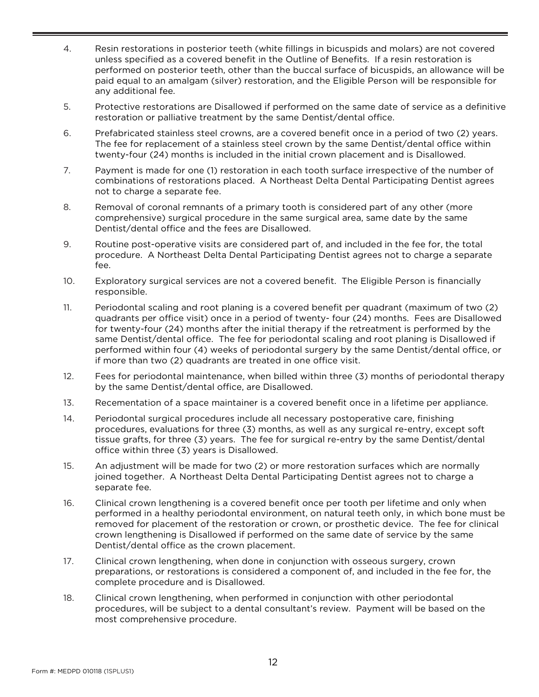- 4. Resin restorations in posterior teeth (white fillings in bicuspids and molars) are not covered unless specified as a covered benefit in the Outline of Benefits. If a resin restoration is performed on posterior teeth, other than the buccal surface of bicuspids, an allowance will be paid equal to an amalgam (silver) restoration, and the Eligible Person will be responsible for any additional fee.
- 5. Protective restorations are Disallowed if performed on the same date of service as a definitive restoration or palliative treatment by the same Dentist/dental office.
- 6. Prefabricated stainless steel crowns, are a covered benefit once in a period of two (2) years. The fee for replacement of a stainless steel crown by the same Dentist/dental office within twenty-four (24) months is included in the initial crown placement and is Disallowed.
- 7. Payment is made for one (1) restoration in each tooth surface irrespective of the number of combinations of restorations placed. A Northeast Delta Dental Participating Dentist agrees not to charge a separate fee.
- 8. Removal of coronal remnants of a primary tooth is considered part of any other (more comprehensive) surgical procedure in the same surgical area, same date by the same Dentist/dental office and the fees are Disallowed.
- 9. Routine post-operative visits are considered part of, and included in the fee for, the total procedure. A Northeast Delta Dental Participating Dentist agrees not to charge a separate fee.
- 10. Exploratory surgical services are not a covered benefit. The Eligible Person is financially responsible.
- 11. Periodontal scaling and root planing is a covered benefit per quadrant (maximum of two (2) quadrants per office visit) once in a period of twenty- four (24) months. Fees are Disallowed for twenty-four (24) months after the initial therapy if the retreatment is performed by the same Dentist/dental office. The fee for periodontal scaling and root planing is Disallowed if performed within four (4) weeks of periodontal surgery by the same Dentist/dental office, or if more than two (2) quadrants are treated in one office visit.
- 12. Fees for periodontal maintenance, when billed within three (3) months of periodontal therapy by the same Dentist/dental office, are Disallowed.
- 13. Recementation of a space maintainer is a covered benefit once in a lifetime per appliance.
- 14. Periodontal surgical procedures include all necessary postoperative care, finishing procedures, evaluations for three (3) months, as well as any surgical re-entry, except soft tissue grafts, for three (3) years. The fee for surgical re-entry by the same Dentist/dental office within three (3) years is Disallowed.
- 15. An adjustment will be made for two (2) or more restoration surfaces which are normally joined together. A Northeast Delta Dental Participating Dentist agrees not to charge a separate fee.
- 16. Clinical crown lengthening is a covered benefit once per tooth per lifetime and only when performed in a healthy periodontal environment, on natural teeth only, in which bone must be removed for placement of the restoration or crown, or prosthetic device. The fee for clinical crown lengthening is Disallowed if performed on the same date of service by the same Dentist/dental office as the crown placement.
- 17. Clinical crown lengthening, when done in conjunction with osseous surgery, crown preparations, or restorations is considered a component of, and included in the fee for, the complete procedure and is Disallowed.
- 18. Clinical crown lengthening, when performed in conjunction with other periodontal procedures, will be subject to a dental consultant's review. Payment will be based on the most comprehensive procedure.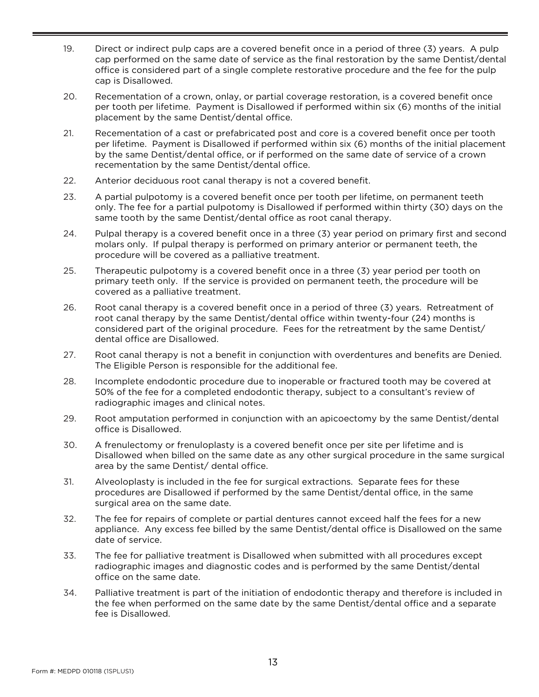- 19. Direct or indirect pulp caps are a covered benefit once in a period of three (3) years. A pulp cap performed on the same date of service as the final restoration by the same Dentist/dental office is considered part of a single complete restorative procedure and the fee for the pulp cap is Disallowed.
- 20. Recementation of a crown, onlay, or partial coverage restoration, is a covered benefit once per tooth per lifetime. Payment is Disallowed if performed within six (6) months of the initial placement by the same Dentist/dental office.
- 21. Recementation of a cast or prefabricated post and core is a covered benefit once per tooth per lifetime. Payment is Disallowed if performed within six (6) months of the initial placement by the same Dentist/dental office, or if performed on the same date of service of a crown recementation by the same Dentist/dental office.
- 22. Anterior deciduous root canal therapy is not a covered benefit.
- 23. A partial pulpotomy is a covered benefit once per tooth per lifetime, on permanent teeth only. The fee for a partial pulpotomy is Disallowed if performed within thirty (30) days on the same tooth by the same Dentist/dental office as root canal therapy.
- 24. Pulpal therapy is a covered benefit once in a three (3) year period on primary first and second molars only. If pulpal therapy is performed on primary anterior or permanent teeth, the procedure will be covered as a palliative treatment.
- 25. Therapeutic pulpotomy is a covered benefit once in a three (3) year period per tooth on primary teeth only. If the service is provided on permanent teeth, the procedure will be covered as a palliative treatment.
- 26. Root canal therapy is a covered benefit once in a period of three (3) years. Retreatment of root canal therapy by the same Dentist/dental office within twenty-four (24) months is considered part of the original procedure. Fees for the retreatment by the same Dentist/ dental office are Disallowed.
- 27. Root canal therapy is not a benefit in conjunction with overdentures and benefits are Denied. The Eligible Person is responsible for the additional fee.
- 28. Incomplete endodontic procedure due to inoperable or fractured tooth may be covered at 50% of the fee for a completed endodontic therapy, subject to a consultant's review of radiographic images and clinical notes.
- 29. Root amputation performed in conjunction with an apicoectomy by the same Dentist/dental office is Disallowed.
- 30. A frenulectomy or frenuloplasty is a covered benefit once per site per lifetime and is Disallowed when billed on the same date as any other surgical procedure in the same surgical area by the same Dentist/ dental office.
- 31. Alveoloplasty is included in the fee for surgical extractions. Separate fees for these procedures are Disallowed if performed by the same Dentist/dental office, in the same surgical area on the same date.
- 32. The fee for repairs of complete or partial dentures cannot exceed half the fees for a new appliance. Any excess fee billed by the same Dentist/dental office is Disallowed on the same date of service.
- 33. The fee for palliative treatment is Disallowed when submitted with all procedures except radiographic images and diagnostic codes and is performed by the same Dentist/dental office on the same date.
- 34. Palliative treatment is part of the initiation of endodontic therapy and therefore is included in the fee when performed on the same date by the same Dentist/dental office and a separate fee is Disallowed.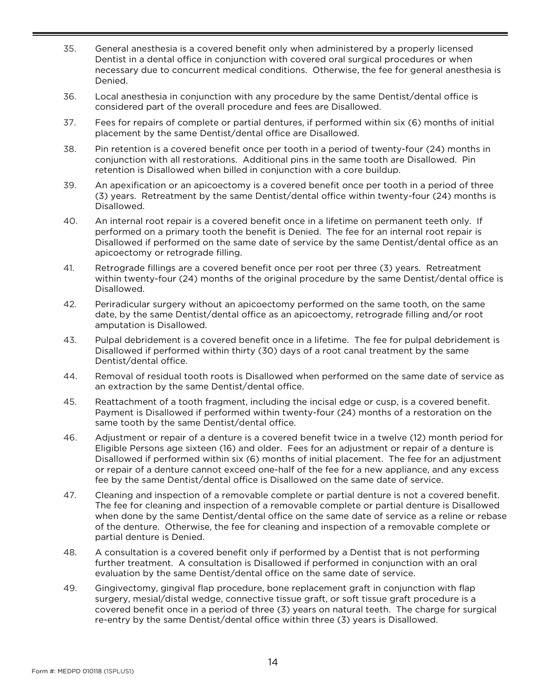- 35. General anesthesia is a covered benefit only when administered by a properly licensed Dentist in a dental office in conjunction with covered oral surgical procedures or when necessary due to concurrent medical conditions. Otherwise, the fee for general anesthesia is Denied.
- 36. Local anesthesia in conjunction with any procedure by the same Dentist/dental office is considered part of the overall procedure and fees are Disallowed.
- 37. Fees for repairs of complete or partial dentures, if performed within six (6) months of initial placement by the same Dentist/dental office are Disallowed.
- 38. Pin retention is a covered benefit once per tooth in a period of twenty-four (24) months in conjunction with all restorations. Additional pins in the same tooth are Disallowed. Pin retention is Disallowed when billed in conjunction with a core buildup.
- 39. An apexification or an apicoectomy is a covered benefit once per tooth in a period of three (3) years. Retreatment by the same Dentist/dental office within twenty-four (24) months is Disallowed.
- 40. An internal root repair is a covered benefit once in a lifetime on permanent teeth only. If performed on a primary tooth the benefit is Denied. The fee for an internal root repair is Disallowed if performed on the same date of service by the same Dentist/dental office as an apicoectomy or retrograde filling.
- 41. Retrograde fillings are a covered benefit once per root per three (3) years. Retreatment within twenty-four (24) months of the original procedure by the same Dentist/dental office is Disallowed.
- 42. Periradicular surgery without an apicoectomy performed on the same tooth, on the same date, by the same Dentist/dental office as an apicoectomy, retrograde filling and/or root amputation is Disallowed.
- 43. Pulpal debridement is a covered benefit once in a lifetime. The fee for pulpal debridement is Disallowed if performed within thirty (30) days of a root canal treatment by the same Dentist/dental office.
- 44. Removal of residual tooth roots is Disallowed when performed on the same date of service as an extraction by the same Dentist/dental office.
- 45. Reattachment of a tooth fragment, including the incisal edge or cusp, is a covered benefit. Payment is Disallowed if performed within twenty-four (24) months of a restoration on the same tooth by the same Dentist/dental office.
- 46. Adjustment or repair of a denture is a covered benefit twice in a twelve (12) month period for Eligible Persons age sixteen (16) and older. Fees for an adjustment or repair of a denture is Disallowed if performed within six (6) months of initial placement. The fee for an adjustment or repair of a denture cannot exceed one-half of the fee for a new appliance, and any excess fee by the same Dentist/dental office is Disallowed on the same date of service.
- 47. Cleaning and inspection of a removable complete or partial denture is not a covered benefit. The fee for cleaning and inspection of a removable complete or partial denture is Disallowed when done by the same Dentist/dental office on the same date of service as a reline or rebase of the denture. Otherwise, the fee for cleaning and inspection of a removable complete or partial denture is Denied.
- 48. A consultation is a covered benefit only if performed by a Dentist that is not performing further treatment. A consultation is Disallowed if performed in conjunction with an oral evaluation by the same Dentist/dental office on the same date of service.
- 49. Gingivectomy, gingival flap procedure, bone replacement graft in conjunction with flap surgery, mesial/distal wedge, connective tissue graft, or soft tissue graft procedure is a covered benefit once in a period of three (3) years on natural teeth. The charge for surgical re-entry by the same Dentist/dental office within three (3) years is Disallowed.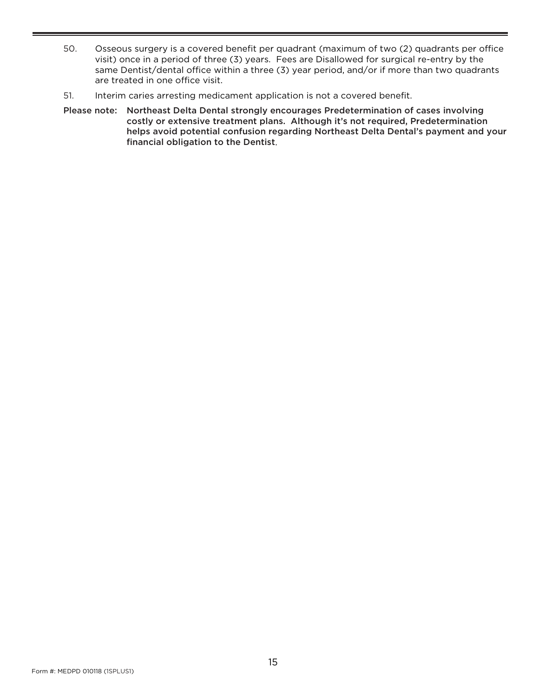- 50. Osseous surgery is a covered benefit per quadrant (maximum of two (2) quadrants per office visit) once in a period of three (3) years. Fees are Disallowed for surgical re-entry by the same Dentist/dental office within a three (3) year period, and/or if more than two quadrants are treated in one office visit.
- 51. Interim caries arresting medicament application is not a covered benefit.
- Please note: Northeast Delta Dental strongly encourages Predetermination of cases involving costly or extensive treatment plans. Although it's not required, Predetermination helps avoid potential confusion regarding Northeast Delta Dental's payment and your financial obligation to the Dentist.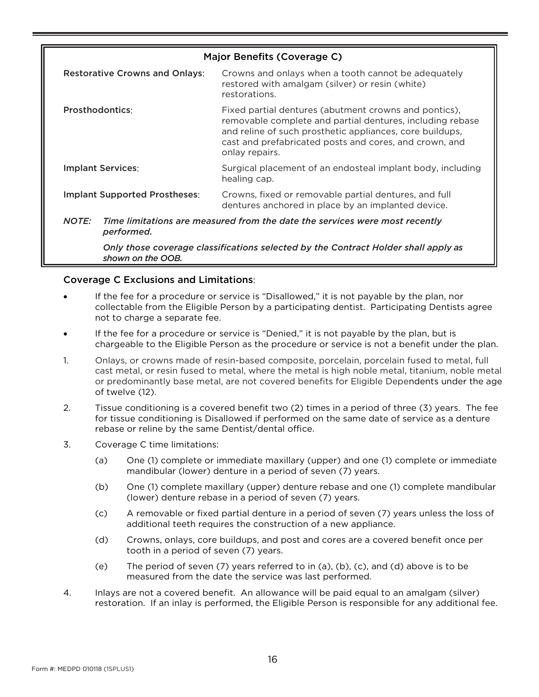<span id="page-18-0"></span>

| Major Benefits (Coverage C)                                                                                                                                                              |                                                                                                                                                                                                                                                            |  |  |  |
|------------------------------------------------------------------------------------------------------------------------------------------------------------------------------------------|------------------------------------------------------------------------------------------------------------------------------------------------------------------------------------------------------------------------------------------------------------|--|--|--|
| <b>Restorative Crowns and Onlays:</b>                                                                                                                                                    | Crowns and onlays when a tooth cannot be adequately<br>restored with amalgam (silver) or resin (white)<br>restorations.                                                                                                                                    |  |  |  |
| <b>Prosthodontics:</b>                                                                                                                                                                   | Fixed partial dentures (abutment crowns and pontics),<br>removable complete and partial dentures, including rebase<br>and reline of such prosthetic appliances, core buildups,<br>cast and prefabricated posts and cores, and crown, and<br>onlay repairs. |  |  |  |
| <b>Implant Services:</b>                                                                                                                                                                 | Surgical placement of an endosteal implant body, including<br>healing cap.                                                                                                                                                                                 |  |  |  |
| <b>Implant Supported Prostheses:</b>                                                                                                                                                     | Crowns, fixed or removable partial dentures, and full<br>dentures anchored in place by an implanted device.                                                                                                                                                |  |  |  |
| NOTE:<br>Time limitations are measured from the date the services were most recently<br>performed.<br>Only those coverage classifications selected by the Contract Holder shall apply as |                                                                                                                                                                                                                                                            |  |  |  |

#### <span id="page-18-1"></span>Coverage C Exclusions and Limitations:

*shown on the OOB.*

- If the fee for a procedure or service is "Disallowed," it is not payable by the plan, nor collectable from the Eligible Person by a participating dentist. Participating Dentists agree not to charge a separate fee.
- If the fee for a procedure or service is "Denied," it is not payable by the plan, but is chargeable to the Eligible Person as the procedure or service is not a benefit under the plan.
- 1. Onlays, or crowns made of resin-based composite, porcelain, porcelain fused to metal, full cast metal, or resin fused to metal, where the metal is high noble metal, titanium, noble metal or predominantly base metal, are not covered benefits for Eligible Dependents under the age of twelve (12).
- 2. Tissue conditioning is a covered benefit two (2) times in a period of three (3) years. The fee for tissue conditioning is Disallowed if performed on the same date of service as a denture rebase or reline by the same Dentist/dental office.
- 3. Coverage C time limitations:
	- (a) One (1) complete or immediate maxillary (upper) and one (1) complete or immediate mandibular (lower) denture in a period of seven (7) years.
	- (b) One (1) complete maxillary (upper) denture rebase and one (1) complete mandibular (lower) denture rebase in a period of seven (7) years.
	- (c) A removable or fixed partial denture in a period of seven (7) years unless the loss of additional teeth requires the construction of a new appliance.
	- (d) Crowns, onlays, core buildups, and post and cores are a covered benefit once per tooth in a period of seven (7) years.
	- (e) The period of seven (7) years referred to in (a), (b), (c), and (d) above is to be measured from the date the service was last performed.
- 4. Inlays are not a covered benefit. An allowance will be paid equal to an amalgam (silver) restoration. If an inlay is performed, the Eligible Person is responsible for any additional fee.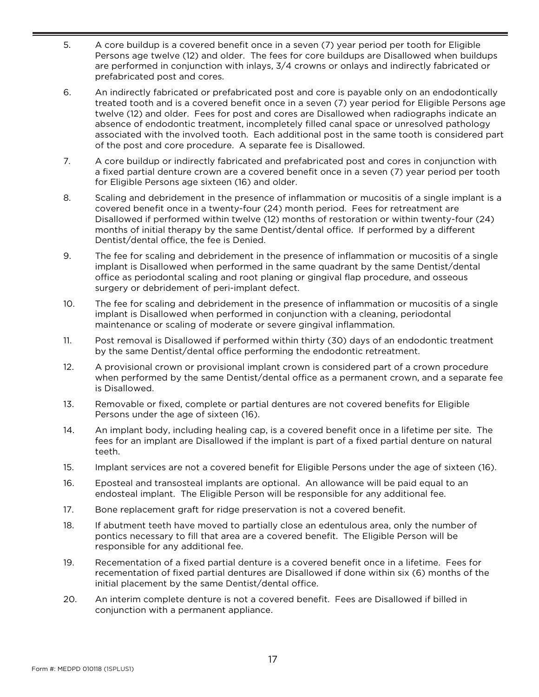- 5. A core buildup is a covered benefit once in a seven (7) year period per tooth for Eligible Persons age twelve (12) and older. The fees for core buildups are Disallowed when buildups are performed in conjunction with inlays, 3/4 crowns or onlays and indirectly fabricated or prefabricated post and cores.
- 6. An indirectly fabricated or prefabricated post and core is payable only on an endodontically treated tooth and is a covered benefit once in a seven (7) year period for Eligible Persons age twelve (12) and older. Fees for post and cores are Disallowed when radiographs indicate an absence of endodontic treatment, incompletely filled canal space or unresolved pathology associated with the involved tooth. Each additional post in the same tooth is considered part of the post and core procedure. A separate fee is Disallowed.
- 7. A core buildup or indirectly fabricated and prefabricated post and cores in conjunction with a fixed partial denture crown are a covered benefit once in a seven (7) year period per tooth for Eligible Persons age sixteen (16) and older.
- 8. Scaling and debridement in the presence of inflammation or mucositis of a single implant is a covered benefit once in a twenty-four (24) month period. Fees for retreatment are Disallowed if performed within twelve (12) months of restoration or within twenty-four (24) months of initial therapy by the same Dentist/dental office. If performed by a different Dentist/dental office, the fee is Denied.
- 9. The fee for scaling and debridement in the presence of inflammation or mucositis of a single implant is Disallowed when performed in the same quadrant by the same Dentist/dental office as periodontal scaling and root planing or gingival flap procedure, and osseous surgery or debridement of peri-implant defect.
- 10. The fee for scaling and debridement in the presence of inflammation or mucositis of a single implant is Disallowed when performed in conjunction with a cleaning, periodontal maintenance or scaling of moderate or severe gingival inflammation.
- 11. Post removal is Disallowed if performed within thirty (30) days of an endodontic treatment by the same Dentist/dental office performing the endodontic retreatment.
- 12. A provisional crown or provisional implant crown is considered part of a crown procedure when performed by the same Dentist/dental office as a permanent crown, and a separate fee is Disallowed.
- 13. Removable or fixed, complete or partial dentures are not covered benefits for Eligible Persons under the age of sixteen (16).
- 14. An implant body, including healing cap, is a covered benefit once in a lifetime per site. The fees for an implant are Disallowed if the implant is part of a fixed partial denture on natural teeth.
- 15. Implant services are not a covered benefit for Eligible Persons under the age of sixteen (16).
- 16. Eposteal and transosteal implants are optional. An allowance will be paid equal to an endosteal implant. The Eligible Person will be responsible for any additional fee.
- 17. Bone replacement graft for ridge preservation is not a covered benefit.
- 18. If abutment teeth have moved to partially close an edentulous area, only the number of pontics necessary to fill that area are a covered benefit. The Eligible Person will be responsible for any additional fee.
- 19. Recementation of a fixed partial denture is a covered benefit once in a lifetime. Fees for recementation of fixed partial dentures are Disallowed if done within six (6) months of the initial placement by the same Dentist/dental office.
- 20. An interim complete denture is not a covered benefit. Fees are Disallowed if billed in conjunction with a permanent appliance.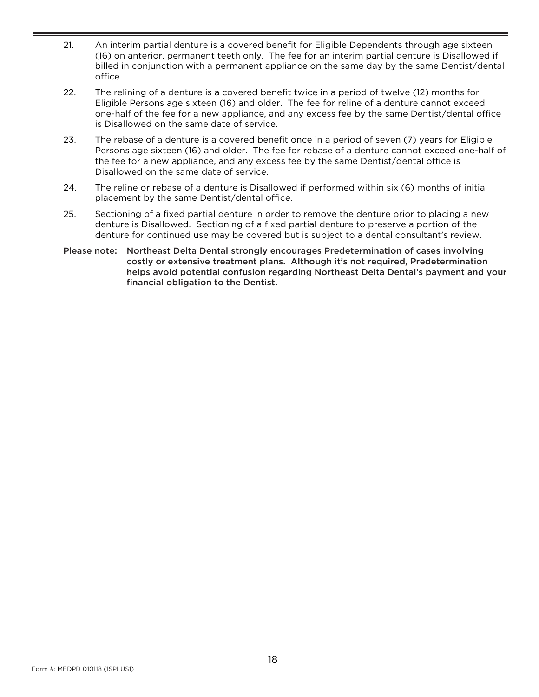- 21. An interim partial denture is a covered benefit for Eligible Dependents through age sixteen (16) on anterior, permanent teeth only. The fee for an interim partial denture is Disallowed if billed in conjunction with a permanent appliance on the same day by the same Dentist/dental office.
- 22. The relining of a denture is a covered benefit twice in a period of twelve (12) months for Eligible Persons age sixteen (16) and older. The fee for reline of a denture cannot exceed one-half of the fee for a new appliance, and any excess fee by the same Dentist/dental office is Disallowed on the same date of service.
- 23. The rebase of a denture is a covered benefit once in a period of seven (7) years for Eligible Persons age sixteen (16) and older. The fee for rebase of a denture cannot exceed one-half of the fee for a new appliance, and any excess fee by the same Dentist/dental office is Disallowed on the same date of service.
- 24. The reline or rebase of a denture is Disallowed if performed within six (6) months of initial placement by the same Dentist/dental office.
- 25. Sectioning of a fixed partial denture in order to remove the denture prior to placing a new denture is Disallowed. Sectioning of a fixed partial denture to preserve a portion of the denture for continued use may be covered but is subject to a dental consultant's review.
- Please note: Northeast Delta Dental strongly encourages Predetermination of cases involving costly or extensive treatment plans. Although it's not required, Predetermination helps avoid potential confusion regarding Northeast Delta Dental's payment and your financial obligation to the Dentist.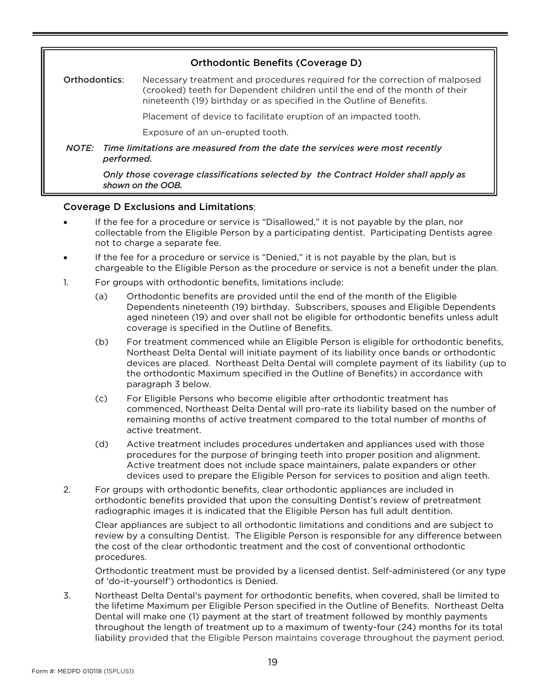<span id="page-21-0"></span>

| <b>Orthodontic Benefits (Coverage D)</b>                                                                                                                                                                                                          |  |  |  |  |  |
|---------------------------------------------------------------------------------------------------------------------------------------------------------------------------------------------------------------------------------------------------|--|--|--|--|--|
| Necessary treatment and procedures required for the correction of malposed<br>Orthodontics:<br>(crooked) teeth for Dependent children until the end of the month of their<br>nineteenth (19) birthday or as specified in the Outline of Benefits. |  |  |  |  |  |
| Placement of device to facilitate eruption of an impacted tooth.                                                                                                                                                                                  |  |  |  |  |  |
| Exposure of an un-erupted tooth.                                                                                                                                                                                                                  |  |  |  |  |  |
| NOTE: Time limitations are measured from the date the services were most recently<br>performed.                                                                                                                                                   |  |  |  |  |  |
| Only those coverage classifications selected by the Contract Holder shall apply as<br>shown on the OOB.                                                                                                                                           |  |  |  |  |  |
|                                                                                                                                                                                                                                                   |  |  |  |  |  |

#### <span id="page-21-1"></span>Coverage D Exclusions and Limitations:

- If the fee for a procedure or service is "Disallowed," it is not payable by the plan, nor collectable from the Eligible Person by a participating dentist. Participating Dentists agree not to charge a separate fee.
- If the fee for a procedure or service is "Denied," it is not payable by the plan, but is chargeable to the Eligible Person as the procedure or service is not a benefit under the plan.
- 1. For groups with orthodontic benefits, limitations include:
	- (a) Orthodontic benefits are provided until the end of the month of the Eligible Dependents nineteenth (19) birthday. Subscribers, spouses and Eligible Dependents aged nineteen (19) and over shall not be eligible for orthodontic benefits unless adult coverage is specified in the Outline of Benefits.
	- (b) For treatment commenced while an Eligible Person is eligible for orthodontic benefits, Northeast Delta Dental will initiate payment of its liability once bands or orthodontic devices are placed. Northeast Delta Dental will complete payment of its liability (up to the orthodontic Maximum specified in the Outline of Benefits) in accordance with paragraph 3 below.
	- (c) For Eligible Persons who become eligible after orthodontic treatment has commenced, Northeast Delta Dental will pro-rate its liability based on the number of remaining months of active treatment compared to the total number of months of active treatment.
	- (d) Active treatment includes procedures undertaken and appliances used with those procedures for the purpose of bringing teeth into proper position and alignment. Active treatment does not include space maintainers, palate expanders or other devices used to prepare the Eligible Person for services to position and align teeth.
- 2. For groups with orthodontic benefits, clear orthodontic appliances are included in orthodontic benefits provided that upon the consulting Dentist's review of pretreatment radiographic images it is indicated that the Eligible Person has full adult dentition.

Clear appliances are subject to all orthodontic limitations and conditions and are subject to review by a consulting Dentist. The Eligible Person is responsible for any difference between the cost of the clear orthodontic treatment and the cost of conventional orthodontic procedures.

Orthodontic treatment must be provided by a licensed dentist. Self-administered (or any type of 'do-it-yourself') orthodontics is Denied.

3. Northeast Delta Dental's payment for orthodontic benefits, when covered, shall be limited to the lifetime Maximum per Eligible Person specified in the Outline of Benefits. Northeast Delta Dental will make one (1) payment at the start of treatment followed by monthly payments throughout the length of treatment up to a maximum of twenty-four (24) months for its total liability provided that the Eligible Person maintains coverage throughout the payment period.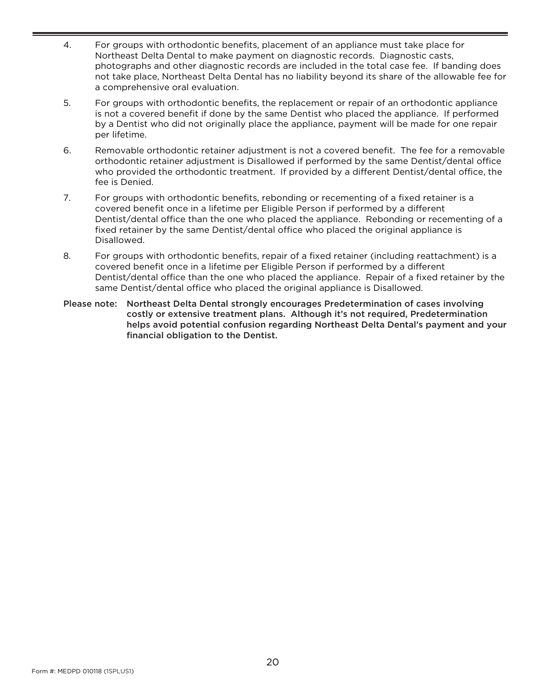- 4. For groups with orthodontic benefits, placement of an appliance must take place for Northeast Delta Dental to make payment on diagnostic records. Diagnostic casts, photographs and other diagnostic records are included in the total case fee. If banding does not take place, Northeast Delta Dental has no liability beyond its share of the allowable fee for a comprehensive oral evaluation.
- 5. For groups with orthodontic benefits, the replacement or repair of an orthodontic appliance is not a covered benefit if done by the same Dentist who placed the appliance. If performed by a Dentist who did not originally place the appliance, payment will be made for one repair per lifetime.
- 6. Removable orthodontic retainer adjustment is not a covered benefit. The fee for a removable orthodontic retainer adjustment is Disallowed if performed by the same Dentist/dental office who provided the orthodontic treatment. If provided by a different Dentist/dental office, the fee is Denied.
- 7. For groups with orthodontic benefits, rebonding or recementing of a fixed retainer is a covered benefit once in a lifetime per Eligible Person if performed by a different Dentist/dental office than the one who placed the appliance. Rebonding or recementing of a fixed retainer by the same Dentist/dental office who placed the original appliance is Disallowed.
- 8. For groups with orthodontic benefits, repair of a fixed retainer (including reattachment) is a covered benefit once in a lifetime per Eligible Person if performed by a different Dentist/dental office than the one who placed the appliance. Repair of a fixed retainer by the same Dentist/dental office who placed the original appliance is Disallowed.
- Please note: Northeast Delta Dental strongly encourages Predetermination of cases involving costly or extensive treatment plans. Although it's not required, Predetermination helps avoid potential confusion regarding Northeast Delta Dental's payment and your financial obligation to the Dentist.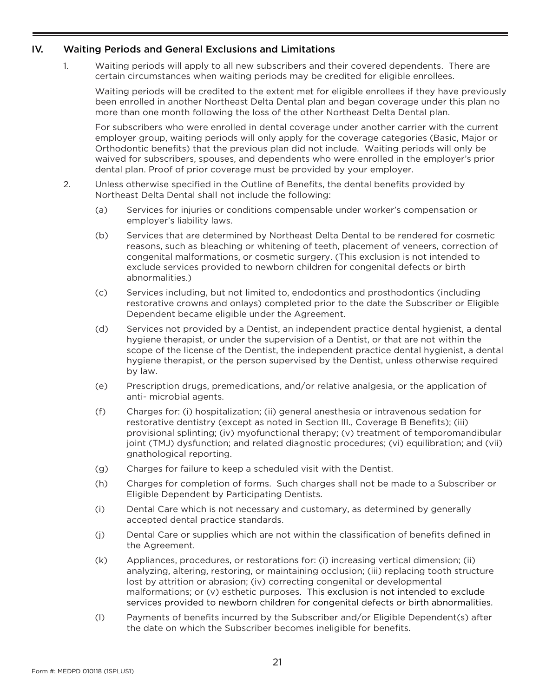#### <span id="page-23-0"></span>IV. Waiting Periods and General Exclusions and Limitations

1. Waiting periods will apply to all new subscribers and their covered dependents. There are certain circumstances when waiting periods may be credited for eligible enrollees.

Waiting periods will be credited to the extent met for eligible enrollees if they have previously been enrolled in another Northeast Delta Dental plan and began coverage under this plan no more than one month following the loss of the other Northeast Delta Dental plan.

For subscribers who were enrolled in dental coverage under another carrier with the current employer group, waiting periods will only apply for the coverage categories (Basic, Major or Orthodontic benefits) that the previous plan did not include. Waiting periods will only be waived for subscribers, spouses, and dependents who were enrolled in the employer's prior dental plan. Proof of prior coverage must be provided by your employer.

- 2. Unless otherwise specified in the Outline of Benefits, the dental benefits provided by Northeast Delta Dental shall not include the following:
	- (a) Services for injuries or conditions compensable under worker's compensation or employer's liability laws.
	- (b) Services that are determined by Northeast Delta Dental to be rendered for cosmetic reasons, such as bleaching or whitening of teeth, placement of veneers, correction of congenital malformations, or cosmetic surgery. (This exclusion is not intended to exclude services provided to newborn children for congenital defects or birth abnormalities.)
	- (c) Services including, but not limited to, endodontics and prosthodontics (including restorative crowns and onlays) completed prior to the date the Subscriber or Eligible Dependent became eligible under the Agreement.
	- (d) Services not provided by a Dentist, an independent practice dental hygienist, a dental hygiene therapist, or under the supervision of a Dentist, or that are not within the scope of the license of the Dentist, the independent practice dental hygienist, a dental hygiene therapist, or the person supervised by the Dentist, unless otherwise required by law.
	- (e) Prescription drugs, premedications, and/or relative analgesia, or the application of anti- microbial agents.
	- (f) Charges for: (i) hospitalization; (ii) general anesthesia or intravenous sedation for restorative dentistry (except as noted in Section III., Coverage B Benefits); (iii) provisional splinting; (iv) myofunctional therapy; (v) treatment of temporomandibular joint (TMJ) dysfunction; and related diagnostic procedures; (vi) equilibration; and (vii) gnathological reporting.
	- (g) Charges for failure to keep a scheduled visit with the Dentist.
	- (h) Charges for completion of forms. Such charges shall not be made to a Subscriber or Eligible Dependent by Participating Dentists.
	- (i) Dental Care which is not necessary and customary, as determined by generally accepted dental practice standards.
	- (j) Dental Care or supplies which are not within the classification of benefits defined in the Agreement.
	- (k) Appliances, procedures, or restorations for: (i) increasing vertical dimension; (ii) analyzing, altering, restoring, or maintaining occlusion; (iii) replacing tooth structure lost by attrition or abrasion; (iv) correcting congenital or developmental malformations; or (v) esthetic purposes. This exclusion is not intended to exclude services provided to newborn children for congenital defects or birth abnormalities.
	- (l) Payments of benefits incurred by the Subscriber and/or Eligible Dependent(s) after the date on which the Subscriber becomes ineligible for benefits.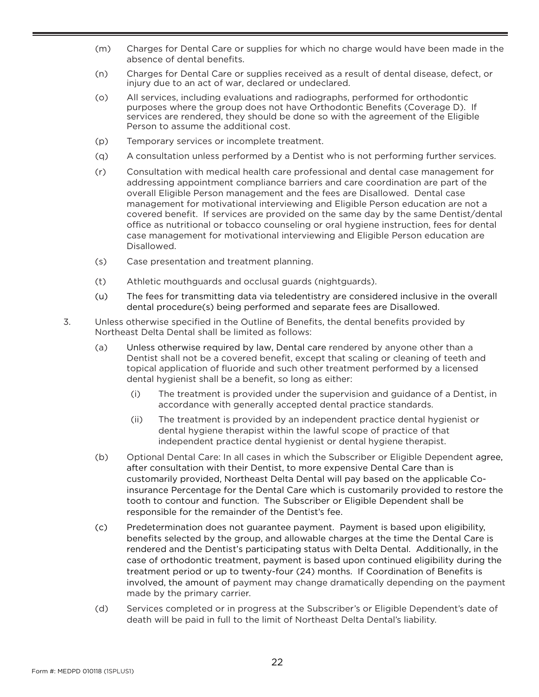- (m) Charges for Dental Care or supplies for which no charge would have been made in the absence of dental benefits.
- (n) Charges for Dental Care or supplies received as a result of dental disease, defect, or injury due to an act of war, declared or undeclared.
- (o) All services, including evaluations and radiographs, performed for orthodontic purposes where the group does not have Orthodontic Benefits (Coverage D). If services are rendered, they should be done so with the agreement of the Eligible Person to assume the additional cost.
- (p) Temporary services or incomplete treatment.
- (q) A consultation unless performed by a Dentist who is not performing further services.
- (r) Consultation with medical health care professional and dental case management for addressing appointment compliance barriers and care coordination are part of the overall Eligible Person management and the fees are Disallowed. Dental case management for motivational interviewing and Eligible Person education are not a covered benefit. If services are provided on the same day by the same Dentist/dental office as nutritional or tobacco counseling or oral hygiene instruction, fees for dental case management for motivational interviewing and Eligible Person education are Disallowed.
- (s) Case presentation and treatment planning.
- (t) Athletic mouthguards and occlusal guards (nightguards).
- (u) The fees for transmitting data via teledentistry are considered inclusive in the overall dental procedure(s) being performed and separate fees are Disallowed.
- 3. Unless otherwise specified in the Outline of Benefits, the dental benefits provided by Northeast Delta Dental shall be limited as follows:
	- (a) Unless otherwise required by law, Dental care rendered by anyone other than a Dentist shall not be a covered benefit, except that scaling or cleaning of teeth and topical application of fluoride and such other treatment performed by a licensed dental hygienist shall be a benefit, so long as either:
		- (i) The treatment is provided under the supervision and guidance of a Dentist, in accordance with generally accepted dental practice standards.
		- (ii) The treatment is provided by an independent practice dental hygienist or dental hygiene therapist within the lawful scope of practice of that independent practice dental hygienist or dental hygiene therapist.
	- (b) Optional Dental Care: In all cases in which the Subscriber or Eligible Dependent agree, after consultation with their Dentist, to more expensive Dental Care than is customarily provided, Northeast Delta Dental will pay based on the applicable Coinsurance Percentage for the Dental Care which is customarily provided to restore the tooth to contour and function. The Subscriber or Eligible Dependent shall be responsible for the remainder of the Dentist's fee.
	- (c) Predetermination does not guarantee payment. Payment is based upon eligibility, benefits selected by the group, and allowable charges at the time the Dental Care is rendered and the Dentist's participating status with Delta Dental. Additionally, in the case of orthodontic treatment, payment is based upon continued eligibility during the treatment period or up to twenty-four (24) months. If Coordination of Benefits is involved, the amount of payment may change dramatically depending on the payment made by the primary carrier.
	- (d) Services completed or in progress at the Subscriber's or Eligible Dependent's date of death will be paid in full to the limit of Northeast Delta Dental's liability.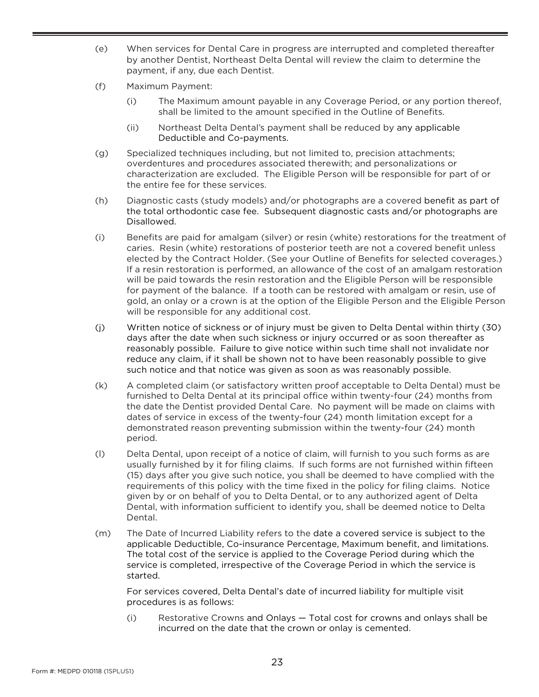- (e) When services for Dental Care in progress are interrupted and completed thereafter by another Dentist, Northeast Delta Dental will review the claim to determine the payment, if any, due each Dentist.
- (f) Maximum Payment:
	- (i) The Maximum amount payable in any Coverage Period, or any portion thereof, shall be limited to the amount specified in the Outline of Benefits.
	- (ii) Northeast Delta Dental's payment shall be reduced by any applicable Deductible and Co-payments.
- (g) Specialized techniques including, but not limited to, precision attachments; overdentures and procedures associated therewith; and personalizations or characterization are excluded. The Eligible Person will be responsible for part of or the entire fee for these services.
- (h) Diagnostic casts (study models) and/or photographs are a covered benefit as part of the total orthodontic case fee. Subsequent diagnostic casts and/or photographs are Disallowed.
- (i) Benefits are paid for amalgam (silver) or resin (white) restorations for the treatment of caries. Resin (white) restorations of posterior teeth are not a covered benefit unless elected by the Contract Holder. (See your Outline of Benefits for selected coverages.) If a resin restoration is performed, an allowance of the cost of an amalgam restoration will be paid towards the resin restoration and the Eligible Person will be responsible for payment of the balance. If a tooth can be restored with amalgam or resin, use of gold, an onlay or a crown is at the option of the Eligible Person and the Eligible Person will be responsible for any additional cost.
- (j) Written notice of sickness or of injury must be given to Delta Dental within thirty (30) days after the date when such sickness or injury occurred or as soon thereafter as reasonably possible. Failure to give notice within such time shall not invalidate nor reduce any claim, if it shall be shown not to have been reasonably possible to give such notice and that notice was given as soon as was reasonably possible.
- (k) A completed claim (or satisfactory written proof acceptable to Delta Dental) must be furnished to Delta Dental at its principal office within twenty-four (24) months from the date the Dentist provided Dental Care. No payment will be made on claims with dates of service in excess of the twenty-four (24) month limitation except for a demonstrated reason preventing submission within the twenty-four (24) month period.
- (l) Delta Dental, upon receipt of a notice of claim, will furnish to you such forms as are usually furnished by it for filing claims. If such forms are not furnished within fifteen (15) days after you give such notice, you shall be deemed to have complied with the requirements of this policy with the time fixed in the policy for filing claims. Notice given by or on behalf of you to Delta Dental, or to any authorized agent of Delta Dental, with information sufficient to identify you, shall be deemed notice to Delta Dental.
- (m) The Date of Incurred Liability refers to the date a covered service is subject to the applicable Deductible, Co-insurance Percentage, Maximum benefit, and limitations. The total cost of the service is applied to the Coverage Period during which the service is completed, irrespective of the Coverage Period in which the service is started.

For services covered, Delta Dental's date of incurred liability for multiple visit procedures is as follows:

(i) Restorative Crowns and Onlays — Total cost for crowns and onlays shall be incurred on the date that the crown or onlay is cemented.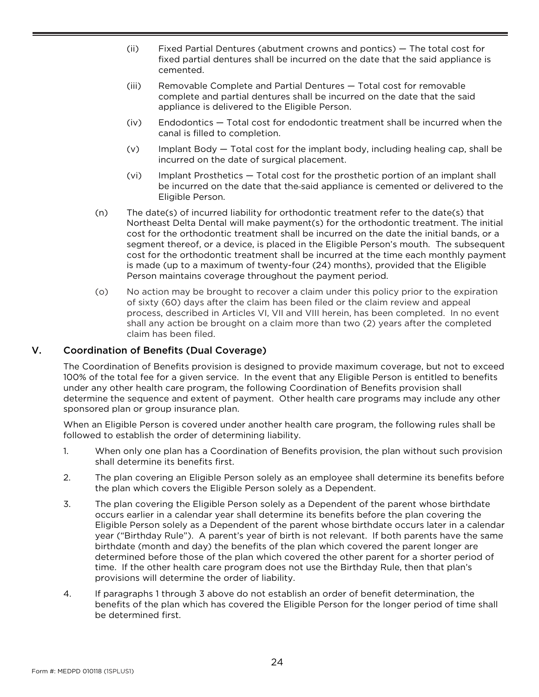- (ii) Fixed Partial Dentures (abutment crowns and pontics) The total cost for fixed partial dentures shall be incurred on the date that the said appliance is cemented.
- (iii) Removable Complete and Partial Dentures Total cost for removable complete and partial dentures shall be incurred on the date that the said appliance is delivered to the Eligible Person.
- (iv) Endodontics Total cost for endodontic treatment shall be incurred when the canal is filled to completion.
- (v) Implant Body Total cost for the implant body, including healing cap, shall be incurred on the date of surgical placement.
- (vi) Implant Prosthetics Total cost for the prosthetic portion of an implant shall be incurred on the date that the said appliance is cemented or delivered to the Eligible Person.
- (n) The date(s) of incurred liability for orthodontic treatment refer to the date(s) that Northeast Delta Dental will make payment(s) for the orthodontic treatment. The initial cost for the orthodontic treatment shall be incurred on the date the initial bands, or a segment thereof, or a device, is placed in the Eligible Person's mouth. The subsequent cost for the orthodontic treatment shall be incurred at the time each monthly payment is made (up to a maximum of twenty-four (24) months), provided that the Eligible Person maintains coverage throughout the payment period.
- (o) No action may be brought to recover a claim under this policy prior to the expiration of sixty (60) days after the claim has been filed or the claim review and appeal process, described in Articles VI, VII and VIII herein, has been completed. In no event shall any action be brought on a claim more than two (2) years after the completed claim has been filed.

#### <span id="page-26-0"></span>V. Coordination of Benefits (Dual Coverage)

The Coordination of Benefits provision is designed to provide maximum coverage, but not to exceed 100% of the total fee for a given service. In the event that any Eligible Person is entitled to benefits under any other health care program, the following Coordination of Benefits provision shall determine the sequence and extent of payment. Other health care programs may include any other sponsored plan or group insurance plan.

When an Eligible Person is covered under another health care program, the following rules shall be followed to establish the order of determining liability.

- 1. When only one plan has a Coordination of Benefits provision, the plan without such provision shall determine its benefits first.
- 2. The plan covering an Eligible Person solely as an employee shall determine its benefits before the plan which covers the Eligible Person solely as a Dependent.
- 3. The plan covering the Eligible Person solely as a Dependent of the parent whose birthdate occurs earlier in a calendar year shall determine its benefits before the plan covering the Eligible Person solely as a Dependent of the parent whose birthdate occurs later in a calendar year ("Birthday Rule"). A parent's year of birth is not relevant. If both parents have the same birthdate (month and day) the benefits of the plan which covered the parent longer are determined before those of the plan which covered the other parent for a shorter period of time. If the other health care program does not use the Birthday Rule, then that plan's provisions will determine the order of liability.
- 4. If paragraphs 1 through 3 above do not establish an order of benefit determination, the benefits of the plan which has covered the Eligible Person for the longer period of time shall be determined first.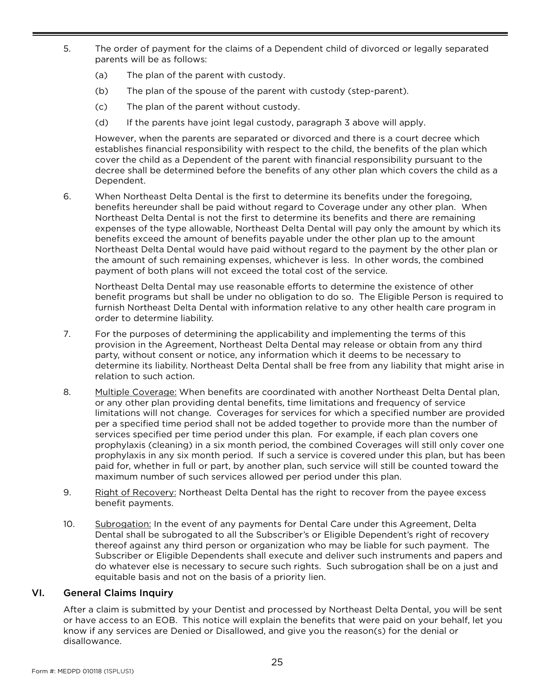- 5. The order of payment for the claims of a Dependent child of divorced or legally separated parents will be as follows:
	- (a) The plan of the parent with custody.
	- (b) The plan of the spouse of the parent with custody (step-parent).
	- (c) The plan of the parent without custody.
	- (d) If the parents have joint legal custody, paragraph 3 above will apply.

However, when the parents are separated or divorced and there is a court decree which establishes financial responsibility with respect to the child, the benefits of the plan which cover the child as a Dependent of the parent with financial responsibility pursuant to the decree shall be determined before the benefits of any other plan which covers the child as a Dependent.

6. When Northeast Delta Dental is the first to determine its benefits under the foregoing, benefits hereunder shall be paid without regard to Coverage under any other plan. When Northeast Delta Dental is not the first to determine its benefits and there are remaining expenses of the type allowable, Northeast Delta Dental will pay only the amount by which its benefits exceed the amount of benefits payable under the other plan up to the amount Northeast Delta Dental would have paid without regard to the payment by the other plan or the amount of such remaining expenses, whichever is less. In other words, the combined payment of both plans will not exceed the total cost of the service.

Northeast Delta Dental may use reasonable efforts to determine the existence of other benefit programs but shall be under no obligation to do so. The Eligible Person is required to furnish Northeast Delta Dental with information relative to any other health care program in order to determine liability.

- 7. For the purposes of determining the applicability and implementing the terms of this provision in the Agreement, Northeast Delta Dental may release or obtain from any third party, without consent or notice, any information which it deems to be necessary to determine its liability. Northeast Delta Dental shall be free from any liability that might arise in relation to such action.
- 8. Multiple Coverage: When benefits are coordinated with another Northeast Delta Dental plan, or any other plan providing dental benefits, time limitations and frequency of service limitations will not change. Coverages for services for which a specified number are provided per a specified time period shall not be added together to provide more than the number of services specified per time period under this plan. For example, if each plan covers one prophylaxis (cleaning) in a six month period, the combined Coverages will still only cover one prophylaxis in any six month period. If such a service is covered under this plan, but has been paid for, whether in full or part, by another plan, such service will still be counted toward the maximum number of such services allowed per period under this plan.
- 9. Right of Recovery: Northeast Delta Dental has the right to recover from the payee excess benefit payments.
- 10. Subrogation: In the event of any payments for Dental Care under this Agreement, Delta Dental shall be subrogated to all the Subscriber's or Eligible Dependent's right of recovery thereof against any third person or organization who may be liable for such payment. The Subscriber or Eligible Dependents shall execute and deliver such instruments and papers and do whatever else is necessary to secure such rights. Such subrogation shall be on a just and equitable basis and not on the basis of a priority lien.

#### <span id="page-27-0"></span>VI. General Claims Inquiry

After a claim is submitted by your Dentist and processed by Northeast Delta Dental, you will be sent or have access to an EOB. This notice will explain the benefits that were paid on your behalf, let you know if any services are Denied or Disallowed, and give you the reason(s) for the denial or disallowance.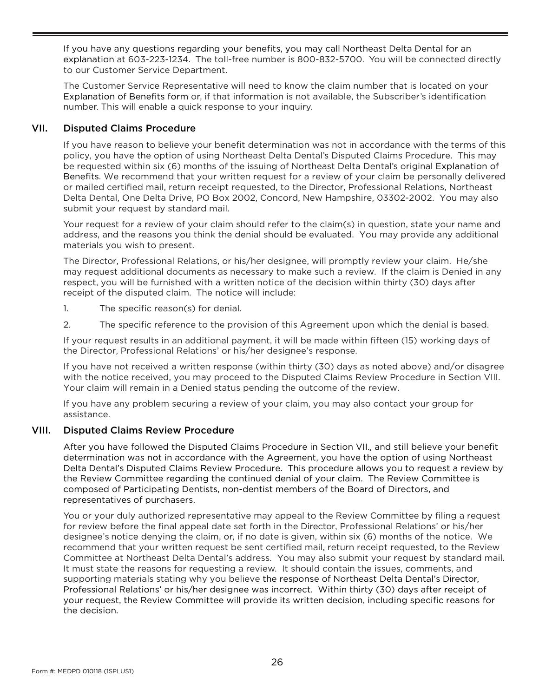If you have any questions regarding your benefits, you may call Northeast Delta Dental for an explanation at 603-223-1234. The toll-free number is 800-832-5700. You will be connected directly to our Customer Service Department.

The Customer Service Representative will need to know the claim number that is located on your Explanation of Benefits form or, if that information is not available, the Subscriber's identification number. This will enable a quick response to your inquiry.

#### <span id="page-28-0"></span>VII. Disputed Claims Procedure

If you have reason to believe your benefit determination was not in accordance with the terms of this policy, you have the option of using Northeast Delta Dental's Disputed Claims Procedure. This may be requested within six (6) months of the issuing of Northeast Delta Dental's original Explanation of Benefits. We recommend that your written request for a review of your claim be personally delivered or mailed certified mail, return receipt requested, to the Director, Professional Relations, Northeast Delta Dental, One Delta Drive, PO Box 2002, Concord, New Hampshire, 03302-2002. You may also submit your request by standard mail.

Your request for a review of your claim should refer to the claim(s) in question, state your name and address, and the reasons you think the denial should be evaluated. You may provide any additional materials you wish to present.

The Director, Professional Relations, or his/her designee, will promptly review your claim. He/she may request additional documents as necessary to make such a review. If the claim is Denied in any respect, you will be furnished with a written notice of the decision within thirty (30) days after receipt of the disputed claim. The notice will include:

- 1. The specific reason(s) for denial.
- 2. The specific reference to the provision of this Agreement upon which the denial is based.

If your request results in an additional payment, it will be made within fifteen (15) working days of the Director, Professional Relations' or his/her designee's response.

If you have not received a written response (within thirty (30) days as noted above) and/or disagree with the notice received, you may proceed to the Disputed Claims Review Procedure in Section VIII. Your claim will remain in a Denied status pending the outcome of the review.

If you have any problem securing a review of your claim, you may also contact your group for assistance.

#### <span id="page-28-1"></span>VIII. Disputed Claims Review Procedure

After you have followed the Disputed Claims Procedure in Section VII., and still believe your benefit determination was not in accordance with the Agreement, you have the option of using Northeast Delta Dental's Disputed Claims Review Procedure. This procedure allows you to request a review by the Review Committee regarding the continued denial of your claim. The Review Committee is composed of Participating Dentists, non-dentist members of the Board of Directors, and representatives of purchasers.

You or your duly authorized representative may appeal to the Review Committee by filing a request for review before the final appeal date set forth in the Director, Professional Relations' or his/her designee's notice denying the claim, or, if no date is given, within six (6) months of the notice. We recommend that your written request be sent certified mail, return receipt requested, to the Review Committee at Northeast Delta Dental's address. You may also submit your request by standard mail. It must state the reasons for requesting a review. It should contain the issues, comments, and supporting materials stating why you believe the response of Northeast Delta Dental's Director, Professional Relations' or his/her designee was incorrect. Within thirty (30) days after receipt of your request, the Review Committee will provide its written decision, including specific reasons for the decision.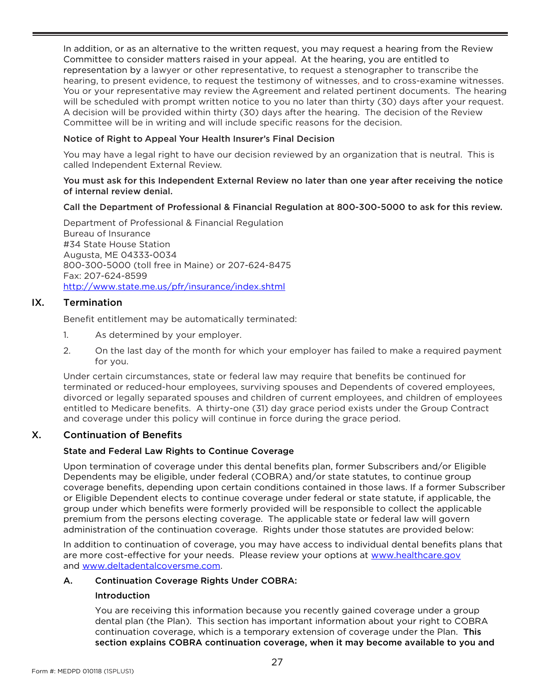In addition, or as an alternative to the written request, you may request a hearing from the Review Committee to consider matters raised in your appeal. At the hearing, you are entitled to representation by a lawyer or other representative, to request a stenographer to transcribe the hearing, to present evidence, to request the testimony of witnesses, and to cross-examine witnesses. You or your representative may review the Agreement and related pertinent documents. The hearing will be scheduled with prompt written notice to you no later than thirty (30) days after your request. A decision will be provided within thirty (30) days after the hearing. The decision of the Review Committee will be in writing and will include specific reasons for the decision.

#### Notice of Right to Appeal Your Health Insurer's Final Decision

You may have a legal right to have our decision reviewed by an organization that is neutral. This is called Independent External Review.

#### You must ask for this Independent External Review no later than one year after receiving the notice of internal review denial.

#### Call the Department of Professional & Financial Regulation at 800-300-5000 to ask for this review.

Department of Professional & Financial Regulation Bureau of Insurance #34 State House Station Augusta, ME 04333-0034 800-300-5000 (toll free in Maine) or 207-624-8475 Fax: 207-624-8599 <http://www.state.me.us/pfr/insurance/index.shtml>

#### IX. Termination

<span id="page-29-0"></span>Benefit entitlement may be automatically terminated:

- 1. As determined by your employer.
- 2. On the last day of the month for which your employer has failed to make a required payment for you.

Under certain circumstances, state or federal law may require that benefits be continued for terminated or reduced-hour employees, surviving spouses and Dependents of covered employees, divorced or legally separated spouses and children of current employees, and children of employees entitled to Medicare benefits. A thirty-one (31) day grace period exists under the Group Contract and coverage under this policy will continue in force during the grace period.

#### <span id="page-29-1"></span>X. Continuation of Benefits

#### State and Federal Law Rights to Continue Coverage

Upon termination of coverage under this dental benefits plan, former Subscribers and/or Eligible Dependents may be eligible, under federal (COBRA) and/or state statutes, to continue group coverage benefits, depending upon certain conditions contained in those laws. If a former Subscriber or Eligible Dependent elects to continue coverage under federal or state statute, if applicable, the group under which benefits were formerly provided will be responsible to collect the applicable premium from the persons electing coverage. The applicable state or federal law will govern administration of the continuation coverage. Rights under those statutes are provided below:

In addition to continuation of coverage, you may have access to individual dental benefits plans that are more cost-effective for your needs. Please review your options at [www.healthcare.gov](http://www.healthcare.gov/) and [www.deltadentalcoversme.com.](http://www.deltadentalcoversme.com/) 

#### A. Continuation Coverage Rights Under COBRA:

#### Introduction

You are receiving this information because you recently gained coverage under a group dental plan (the Plan). This section has important information about your right to COBRA continuation coverage, which is a temporary extension of coverage under the Plan. This section explains COBRA continuation coverage, when it may become available to you and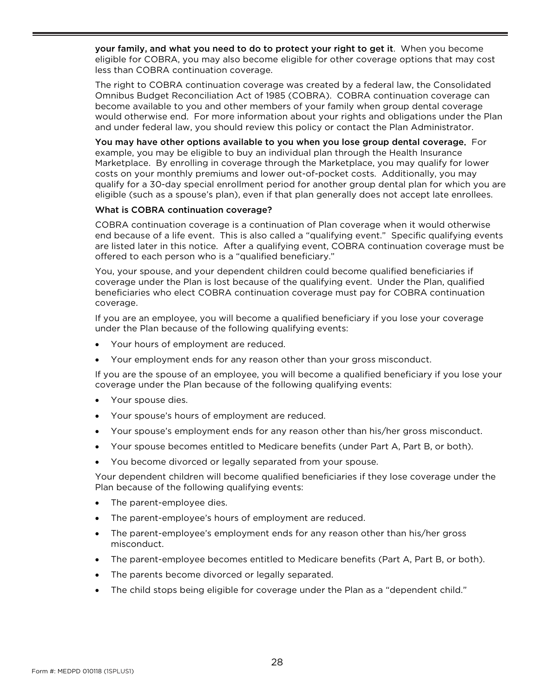your family, and what you need to do to protect your right to get it. When you become eligible for COBRA, you may also become eligible for other coverage options that may cost less than COBRA continuation coverage.

The right to COBRA continuation coverage was created by a federal law, the Consolidated Omnibus Budget Reconciliation Act of 1985 (COBRA). COBRA continuation coverage can become available to you and other members of your family when group dental coverage would otherwise end. For more information about your rights and obligations under the Plan and under federal law, you should review this policy or contact the Plan Administrator.

You may have other options available to you when you lose group dental coverage. For example, you may be eligible to buy an individual plan through the Health Insurance Marketplace. By enrolling in coverage through the Marketplace, you may qualify for lower costs on your monthly premiums and lower out-of-pocket costs. Additionally, you may qualify for a 30-day special enrollment period for another group dental plan for which you are eligible (such as a spouse's plan), even if that plan generally does not accept late enrollees.

#### What is COBRA continuation coverage?

COBRA continuation coverage is a continuation of Plan coverage when it would otherwise end because of a life event. This is also called a "qualifying event." Specific qualifying events are listed later in this notice. After a qualifying event, COBRA continuation coverage must be offered to each person who is a "qualified beneficiary."

You, your spouse, and your dependent children could become qualified beneficiaries if coverage under the Plan is lost because of the qualifying event. Under the Plan, qualified beneficiaries who elect COBRA continuation coverage must pay for COBRA continuation coverage.

If you are an employee, you will become a qualified beneficiary if you lose your coverage under the Plan because of the following qualifying events:

- Your hours of employment are reduced.
- Your employment ends for any reason other than your gross misconduct.

If you are the spouse of an employee, you will become a qualified beneficiary if you lose your coverage under the Plan because of the following qualifying events:

- Your spouse dies.
- Your spouse's hours of employment are reduced.
- Your spouse's employment ends for any reason other than his/her gross misconduct.
- Your spouse becomes entitled to Medicare benefits (under Part A, Part B, or both).
- You become divorced or legally separated from your spouse.

Your dependent children will become qualified beneficiaries if they lose coverage under the Plan because of the following qualifying events:

- The parent-employee dies.
- The parent-employee's hours of employment are reduced.
- The parent-employee's employment ends for any reason other than his/her gross misconduct.
- The parent-employee becomes entitled to Medicare benefits (Part A, Part B, or both).
- The parents become divorced or legally separated.
- The child stops being eligible for coverage under the Plan as a "dependent child."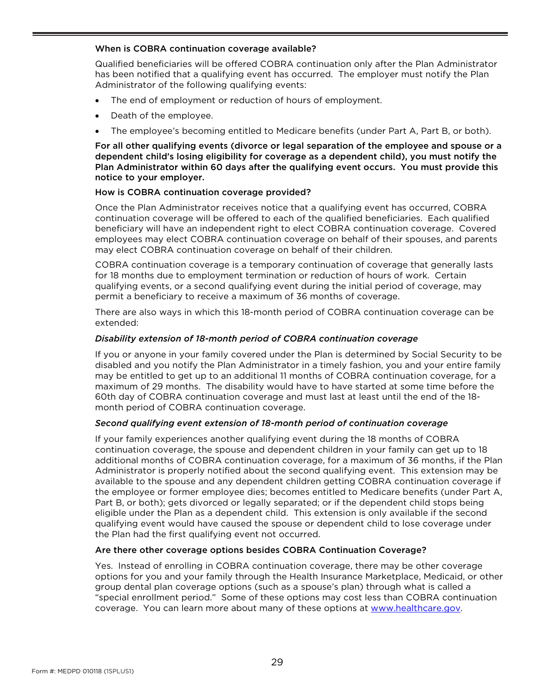#### When is COBRA continuation coverage available?

Qualified beneficiaries will be offered COBRA continuation only after the Plan Administrator has been notified that a qualifying event has occurred. The employer must notify the Plan Administrator of the following qualifying events:

- The end of employment or reduction of hours of employment.
- Death of the employee.
- The employee's becoming entitled to Medicare benefits (under Part A, Part B, or both).

For all other qualifying events (divorce or legal separation of the employee and spouse or a dependent child's losing eligibility for coverage as a dependent child), you must notify the Plan Administrator within 60 days after the qualifying event occurs. You must provide this notice to your employer.

#### How is COBRA continuation coverage provided?

Once the Plan Administrator receives notice that a qualifying event has occurred, COBRA continuation coverage will be offered to each of the qualified beneficiaries. Each qualified beneficiary will have an independent right to elect COBRA continuation coverage. Covered employees may elect COBRA continuation coverage on behalf of their spouses, and parents may elect COBRA continuation coverage on behalf of their children.

COBRA continuation coverage is a temporary continuation of coverage that generally lasts for 18 months due to employment termination or reduction of hours of work. Certain qualifying events, or a second qualifying event during the initial period of coverage, may permit a beneficiary to receive a maximum of 36 months of coverage.

There are also ways in which this 18-month period of COBRA continuation coverage can be extended:

#### *Disability extension of 18-month period of COBRA continuation coverage*

If you or anyone in your family covered under the Plan is determined by Social Security to be disabled and you notify the Plan Administrator in a timely fashion, you and your entire family may be entitled to get up to an additional 11 months of COBRA continuation coverage, for a maximum of 29 months. The disability would have to have started at some time before the 60th day of COBRA continuation coverage and must last at least until the end of the 18 month period of COBRA continuation coverage.

#### *Second qualifying event extension of 18-month period of continuation coverage*

If your family experiences another qualifying event during the 18 months of COBRA continuation coverage, the spouse and dependent children in your family can get up to 18 additional months of COBRA continuation coverage, for a maximum of 36 months, if the Plan Administrator is properly notified about the second qualifying event. This extension may be available to the spouse and any dependent children getting COBRA continuation coverage if the employee or former employee dies; becomes entitled to Medicare benefits (under Part A, Part B, or both); gets divorced or legally separated; or if the dependent child stops being eligible under the Plan as a dependent child. This extension is only available if the second qualifying event would have caused the spouse or dependent child to lose coverage under the Plan had the first qualifying event not occurred.

#### Are there other coverage options besides COBRA Continuation Coverage?

Yes. Instead of enrolling in COBRA continuation coverage, there may be other coverage options for you and your family through the Health Insurance Marketplace, Medicaid, or other group dental plan coverage options (such as a spouse's plan) through what is called a "special enrollment period." Some of these options may cost less than COBRA continuation coverage. You can learn more about many of these options at www.healthcare.gov.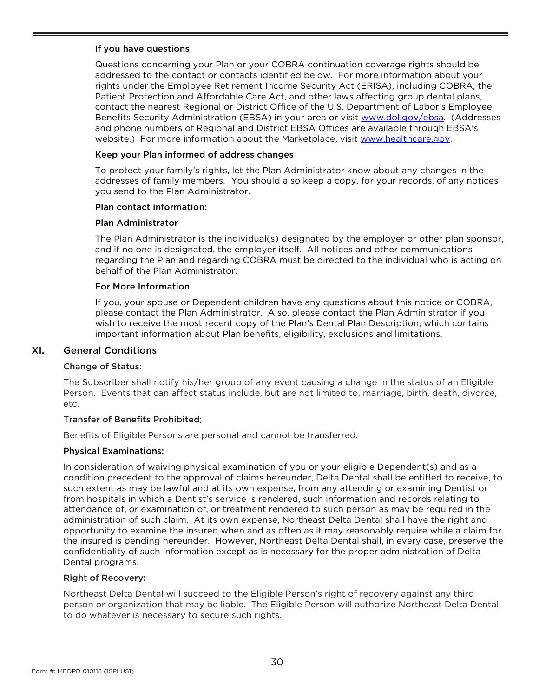#### If you have questions

Questions concerning your Plan or your COBRA continuation coverage rights should be addressed to the contact or contacts identified below. For more information about your rights under the Employee Retirement Income Security Act (ERISA), including COBRA, the Patient Protection and Affordable Care Act, and other laws affecting group dental plans, contact the nearest Regional or District Office of the U.S. Department of Labor's Employee Benefits Security Administration (EBSA) in your area or visit [www.dol.gov/ebsa.](http://www.dol.gov/ebsa) (Addresses and phone numbers of Regional and District EBSA Offices are available through EBSA's website.) For more information about the Marketplace, visit www.healthcare.gov.

#### Keep your Plan informed of address changes

To protect your family's rights, let the Plan Administrator know about any changes in the addresses of family members. You should also keep a copy, for your records, of any notices you send to the Plan Administrator.

#### Plan contact information:

#### Plan Administrator

The Plan Administrator is the individual(s) designated by the employer or other plan sponsor, and if no one is designated, the employer itself. All notices and other communications regarding the Plan and regarding COBRA must be directed to the individual who is acting on behalf of the Plan Administrator.

#### For More Information

If you, your spouse or Dependent children have any questions about this notice or COBRA, please contact the Plan Administrator. Also, please contact the Plan Administrator if you wish to receive the most recent copy of the Plan's Dental Plan Description, which contains important information about Plan benefits, eligibility, exclusions and limitations.

#### <span id="page-32-0"></span>XI. General Conditions

#### Change of Status:

The Subscriber shall notify his/her group of any event causing a change in the status of an Eligible Person. Events that can affect status include, but are not limited to, marriage, birth, death, divorce, etc.

#### Transfer of Benefits Prohibited:

Benefits of Eligible Persons are personal and cannot be transferred.

#### Physical Examinations:

In consideration of waiving physical examination of you or your eligible Dependent(s) and as a condition precedent to the approval of claims hereunder, Delta Dental shall be entitled to receive, to such extent as may be lawful and at its own expense, from any attending or examining Dentist or from hospitals in which a Dentist's service is rendered, such information and records relating to attendance of, or examination of, or treatment rendered to such person as may be required in the administration of such claim. At its own expense, Northeast Delta Dental shall have the right and opportunity to examine the insured when and as often as it may reasonably require while a claim for the insured is pending hereunder. However, Northeast Delta Dental shall, in every case, preserve the confidentiality of such information except as is necessary for the proper administration of Delta Dental programs.

#### Right of Recovery:

Northeast Delta Dental will succeed to the Eligible Person's right of recovery against any third person or organization that may be liable. The Eligible Person will authorize Northeast Delta Dental to do whatever is necessary to secure such rights.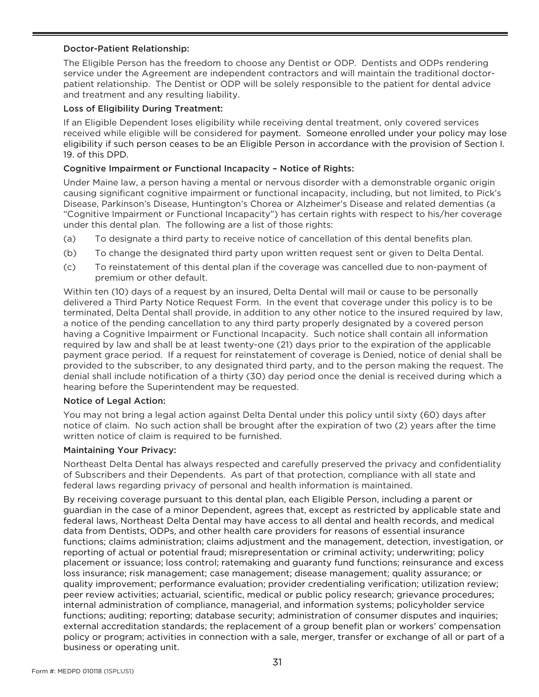#### Doctor-Patient Relationship:

The Eligible Person has the freedom to choose any Dentist or ODP. Dentists and ODPs rendering service under the Agreement are independent contractors and will maintain the traditional doctorpatient relationship. The Dentist or ODP will be solely responsible to the patient for dental advice and treatment and any resulting liability.

#### Loss of Eligibility During Treatment:

If an Eligible Dependent loses eligibility while receiving dental treatment, only covered services received while eligible will be considered for payment. Someone enrolled under your policy may lose eligibility if such person ceases to be an Eligible Person in accordance with the provision of Section I. 19. of this DPD.

#### Cognitive Impairment or Functional Incapacity – Notice of Rights:

Under Maine law, a person having a mental or nervous disorder with a demonstrable organic origin causing significant cognitive impairment or functional incapacity, including, but not limited, to Pick's Disease, Parkinson's Disease, Huntington's Chorea or Alzheimer's Disease and related dementias (a "Cognitive Impairment or Functional Incapacity") has certain rights with respect to his/her coverage under this dental plan. The following are a list of those rights:

- (a) To designate a third party to receive notice of cancellation of this dental benefits plan.
- (b) To change the designated third party upon written request sent or given to Delta Dental.
- (c) To reinstatement of this dental plan if the coverage was cancelled due to non-payment of premium or other default.

Within ten (10) days of a request by an insured, Delta Dental will mail or cause to be personally delivered a Third Party Notice Request Form. In the event that coverage under this policy is to be terminated, Delta Dental shall provide, in addition to any other notice to the insured required by law, a notice of the pending cancellation to any third party properly designated by a covered person having a Cognitive Impairment or Functional Incapacity. Such notice shall contain all information required by law and shall be at least twenty-one (21) days prior to the expiration of the applicable payment grace period. If a request for reinstatement of coverage is Denied, notice of denial shall be provided to the subscriber, to any designated third party, and to the person making the request. The denial shall include notification of a thirty (30) day period once the denial is received during which a hearing before the Superintendent may be requested.

#### Notice of Legal Action:

You may not bring a legal action against Delta Dental under this policy until sixty (60) days after notice of claim. No such action shall be brought after the expiration of two (2) years after the time written notice of claim is required to be furnished.

#### Maintaining Your Privacy:

Northeast Delta Dental has always respected and carefully preserved the privacy and confidentiality of Subscribers and their Dependents. As part of that protection, compliance with all state and federal laws regarding privacy of personal and health information is maintained.

By receiving coverage pursuant to this dental plan, each Eligible Person, including a parent or guardian in the case of a minor Dependent, agrees that, except as restricted by applicable state and federal laws, Northeast Delta Dental may have access to all dental and health records, and medical data from Dentists, ODPs, and other health care providers for reasons of essential insurance functions; claims administration; claims adjustment and the management, detection, investigation, or reporting of actual or potential fraud; misrepresentation or criminal activity; underwriting; policy placement or issuance; loss control; ratemaking and guaranty fund functions; reinsurance and excess loss insurance; risk management; case management; disease management; quality assurance; or quality improvement; performance evaluation; provider credentialing verification; utilization review; peer review activities; actuarial, scientific, medical or public policy research; grievance procedures; internal administration of compliance, managerial, and information systems; policyholder service functions; auditing; reporting; database security; administration of consumer disputes and inquiries; external accreditation standards; the replacement of a group benefit plan or workers' compensation policy or program; activities in connection with a sale, merger, transfer or exchange of all or part of a business or operating unit.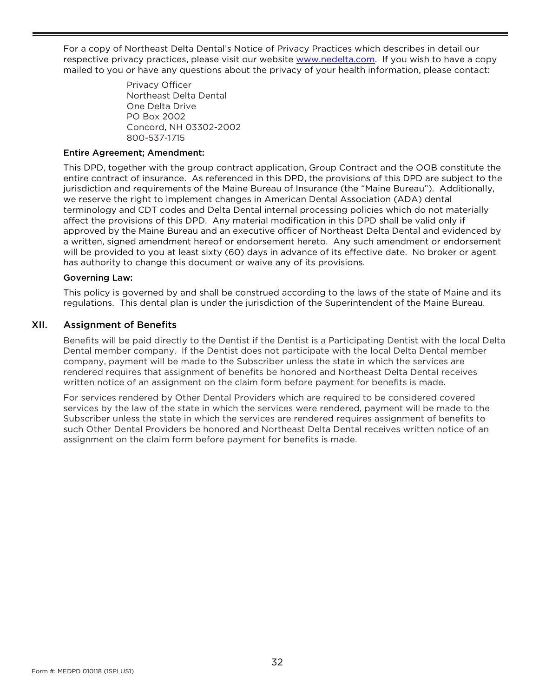For a copy of Northeast Delta Dental's Notice of Privacy Practices which describes in detail our respective privacy practices, please visit our website [www.nedelta.com.](http://www.nedelta.com/) If you wish to have a copy mailed to you or have any questions about the privacy of your health information, please contact:

> Privacy Officer Northeast Delta Dental One Delta Drive PO Box 2002 Concord, NH 03302-2002 800-537-1715

#### Entire Agreement; Amendment:

This DPD, together with the group contract application, Group Contract and the OOB constitute the entire contract of insurance. As referenced in this DPD, the provisions of this DPD are subject to the jurisdiction and requirements of the Maine Bureau of Insurance (the "Maine Bureau"). Additionally, we reserve the right to implement changes in American Dental Association (ADA) dental terminology and CDT codes and Delta Dental internal processing policies which do not materially affect the provisions of this DPD. Any material modification in this DPD shall be valid only if approved by the Maine Bureau and an executive officer of Northeast Delta Dental and evidenced by a written, signed amendment hereof or endorsement hereto. Any such amendment or endorsement will be provided to you at least sixty (60) days in advance of its effective date. No broker or agent has authority to change this document or waive any of its provisions.

#### Governing Law:

This policy is governed by and shall be construed according to the laws of the state of Maine and its regulations. This dental plan is under the jurisdiction of the Superintendent of the Maine Bureau.

#### <span id="page-34-0"></span>XII. Assignment of Benefits

Benefits will be paid directly to the Dentist if the Dentist is a Participating Dentist with the local Delta Dental member company. If the Dentist does not participate with the local Delta Dental member company, payment will be made to the Subscriber unless the state in which the services are rendered requires that assignment of benefits be honored and Northeast Delta Dental receives written notice of an assignment on the claim form before payment for benefits is made.

For services rendered by Other Dental Providers which are required to be considered covered services by the law of the state in which the services were rendered, payment will be made to the Subscriber unless the state in which the services are rendered requires assignment of benefits to such Other Dental Providers be honored and Northeast Delta Dental receives written notice of an assignment on the claim form before payment for benefits is made.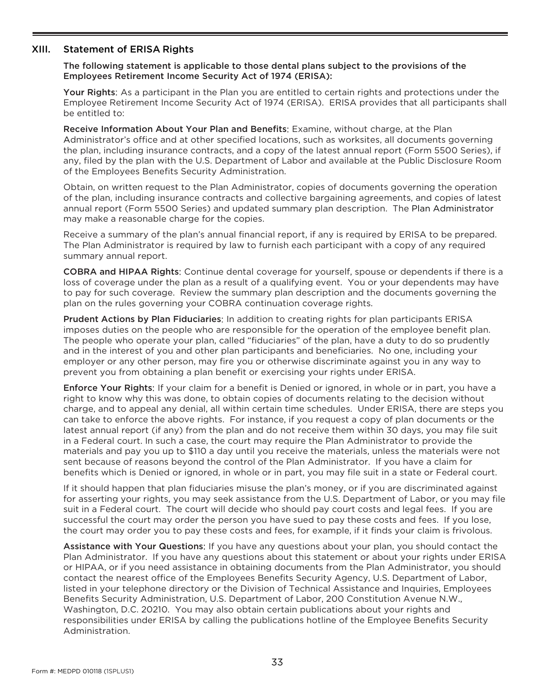#### <span id="page-35-0"></span>XIII. Statement of ERISA Rights

The following statement is applicable to those dental plans subject to the provisions of the Employees Retirement Income Security Act of 1974 (ERISA):

Your Rights: As a participant in the Plan you are entitled to certain rights and protections under the Employee Retirement Income Security Act of 1974 (ERISA). ERISA provides that all participants shall be entitled to:

Receive Information About Your Plan and Benefits: Examine, without charge, at the Plan Administrator's office and at other specified locations, such as worksites, all documents governing the plan, including insurance contracts, and a copy of the latest annual report (Form 5500 Series), if any, filed by the plan with the U.S. Department of Labor and available at the Public Disclosure Room of the Employees Benefits Security Administration.

Obtain, on written request to the Plan Administrator, copies of documents governing the operation of the plan, including insurance contracts and collective bargaining agreements, and copies of latest annual report (Form 5500 Series) and updated summary plan description. The Plan Administrator may make a reasonable charge for the copies.

Receive a summary of the plan's annual financial report, if any is required by ERISA to be prepared. The Plan Administrator is required by law to furnish each participant with a copy of any required summary annual report.

COBRA and HIPAA Rights: Continue dental coverage for yourself, spouse or dependents if there is a loss of coverage under the plan as a result of a qualifying event. You or your dependents may have to pay for such coverage. Review the summary plan description and the documents governing the plan on the rules governing your COBRA continuation coverage rights.

Prudent Actions by Plan Fiduciaries: In addition to creating rights for plan participants ERISA imposes duties on the people who are responsible for the operation of the employee benefit plan. The people who operate your plan, called "fiduciaries" of the plan, have a duty to do so prudently and in the interest of you and other plan participants and beneficiaries. No one, including your employer or any other person, may fire you or otherwise discriminate against you in any way to prevent you from obtaining a plan benefit or exercising your rights under ERISA.

Enforce Your Rights: If your claim for a benefit is Denied or ignored, in whole or in part, you have a right to know why this was done, to obtain copies of documents relating to the decision without charge, and to appeal any denial, all within certain time schedules. Under ERISA, there are steps you can take to enforce the above rights. For instance, if you request a copy of plan documents or the latest annual report (if any) from the plan and do not receive them within 30 days, you may file suit in a Federal court. In such a case, the court may require the Plan Administrator to provide the materials and pay you up to \$110 a day until you receive the materials, unless the materials were not sent because of reasons beyond the control of the Plan Administrator. If you have a claim for benefits which is Denied or ignored, in whole or in part, you may file suit in a state or Federal court.

If it should happen that plan fiduciaries misuse the plan's money, or if you are discriminated against for asserting your rights, you may seek assistance from the U.S. Department of Labor, or you may file suit in a Federal court. The court will decide who should pay court costs and legal fees. If you are successful the court may order the person you have sued to pay these costs and fees. If you lose, the court may order you to pay these costs and fees, for example, if it finds your claim is frivolous.

Assistance with Your Questions: If you have any questions about your plan, you should contact the Plan Administrator. If you have any questions about this statement or about your rights under ERISA or HIPAA, or if you need assistance in obtaining documents from the Plan Administrator, you should contact the nearest office of the Employees Benefits Security Agency, U.S. Department of Labor, listed in your telephone directory or the Division of Technical Assistance and Inquiries, Employees Benefits Security Administration, U.S. Department of Labor, 200 Constitution Avenue N.W., Washington, D.C. 20210. You may also obtain certain publications about your rights and responsibilities under ERISA by calling the publications hotline of the Employee Benefits Security Administration.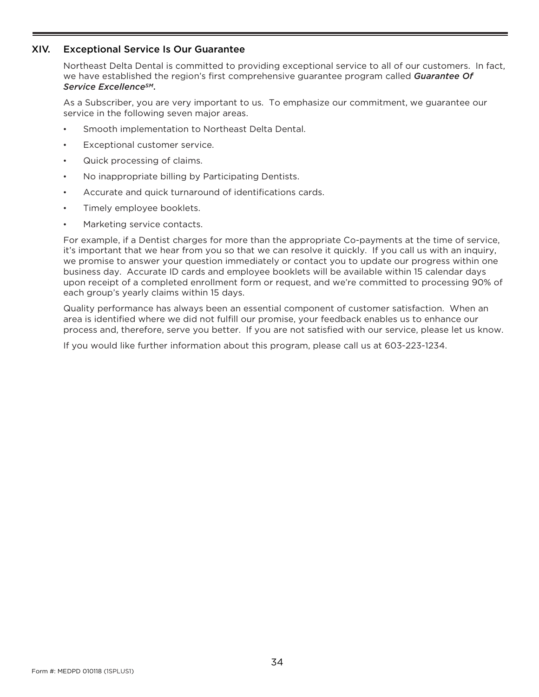#### <span id="page-36-0"></span>XIV. Exceptional Service Is Our Guarantee

Northeast Delta Dental is committed to providing exceptional service to all of our customers. In fact, we have established the region's first comprehensive guarantee program called *Guarantee Of Service ExcellenceSM*.

As a Subscriber, you are very important to us. To emphasize our commitment, we guarantee our service in the following seven major areas.

- Smooth implementation to Northeast Delta Dental.
- Exceptional customer service.
- Quick processing of claims.
- No inappropriate billing by Participating Dentists.
- Accurate and quick turnaround of identifications cards.
- Timely employee booklets.
- Marketing service contacts.

For example, if a Dentist charges for more than the appropriate Co-payments at the time of service, it's important that we hear from you so that we can resolve it quickly. If you call us with an inquiry, we promise to answer your question immediately or contact you to update our progress within one business day. Accurate ID cards and employee booklets will be available within 15 calendar days upon receipt of a completed enrollment form or request, and we're committed to processing 90% of each group's yearly claims within 15 days.

Quality performance has always been an essential component of customer satisfaction. When an area is identified where we did not fulfill our promise, your feedback enables us to enhance our process and, therefore, serve you better. If you are not satisfied with our service, please let us know.

If you would like further information about this program, please call us at 603-223-1234.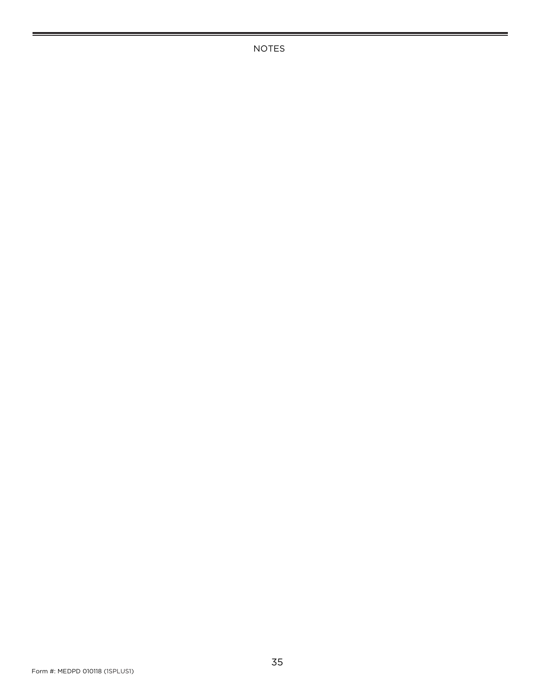NOTES